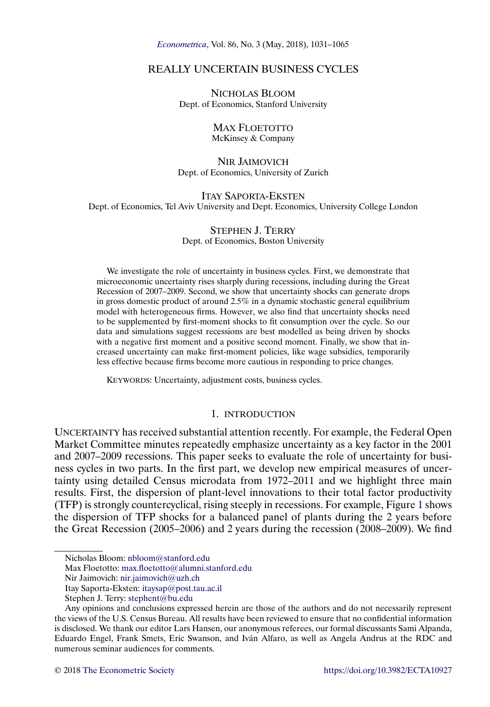*[Econometrica](http://www.econometricsociety.org/)*, Vol. 86, No. 3 (May, 2018), 1031–1065

# REALLY UNCERTAIN BUSINESS CYCLES

NICHOLAS BLOOM Dept. of Economics, Stanford University

### MAX FLOETOTTO McKinsey & Company

#### NIR JAIMOVICH Dept. of Economics, University of Zurich

ITAY SAPORTA-EKSTEN Dept. of Economics, Tel Aviv University and Dept. Economics, University College London

## STEPHEN J. TERRY Dept. of Economics, Boston University

We investigate the role of uncertainty in business cycles. First, we demonstrate that microeconomic uncertainty rises sharply during recessions, including during the Great Recession of 2007–2009. Second, we show that uncertainty shocks can generate drops in gross domestic product of around 2.5% in a dynamic stochastic general equilibrium model with heterogeneous firms. However, we also find that uncertainty shocks need to be supplemented by first-moment shocks to fit consumption over the cycle. So our data and simulations suggest recessions are best modelled as being driven by shocks with a negative first moment and a positive second moment. Finally, we show that increased uncertainty can make first-moment policies, like wage subsidies, temporarily less effective because firms become more cautious in responding to price changes.

KEYWORDS: Uncertainty, adjustment costs, business cycles.

# 1. INTRODUCTION

UNCERTAINTY has received substantial attention recently. For example, the Federal Open Market Committee minutes repeatedly emphasize uncertainty as a key factor in the 2001 and 2007–2009 recessions. This paper seeks to evaluate the role of uncertainty for business cycles in two parts. In the first part, we develop new empirical measures of uncertainty using detailed Census microdata from 1972–2011 and we highlight three main results. First, the dispersion of plant-level innovations to their total factor productivity (TFP) is strongly countercyclical, rising steeply in recessions. For example, Figure [1](#page-1-0) shows the dispersion of TFP shocks for a balanced panel of plants during the 2 years before the Great Recession (2005–2006) and 2 years during the recession (2008–2009). We find

Nicholas Bloom: [nbloom@stanford.edu](mailto:nbloom@stanford.edu)

Max Floetotto: [max.floetotto@alumni.stanford.edu](mailto:max.floetotto@alumni.stanford.edu)

Nir Jaimovich: [nir.jaimovich@uzh.ch](mailto:nir.jaimovich@uzh.ch)

Itay Saporta-Eksten: [itaysap@post.tau.ac.il](mailto:itaysap@post.tau.ac.il)

Stephen J. Terry: [stephent@bu.edu](mailto:stephent@bu.edu)

Any opinions and conclusions expressed herein are those of the authors and do not necessarily represent the views of the U.S. Census Bureau. All results have been reviewed to ensure that no confidential information is disclosed. We thank our editor Lars Hansen, our anonymous referees, our formal discussants Sami Alpanda, Eduardo Engel, Frank Smets, Eric Swanson, and Iván Alfaro, as well as Angela Andrus at the RDC and numerous seminar audiences for comments.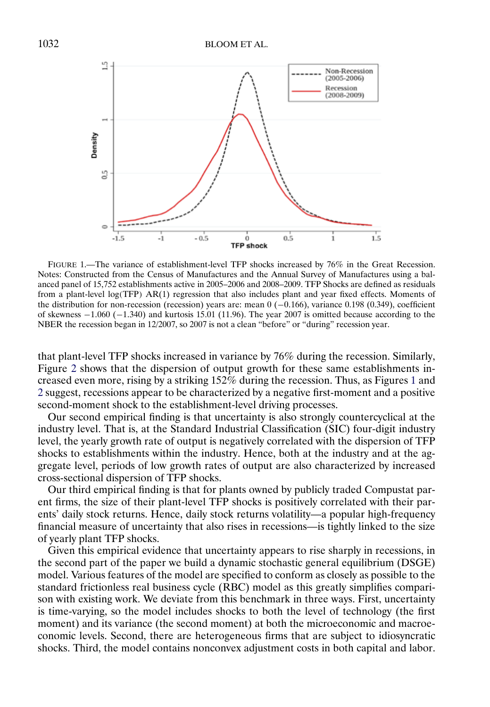<span id="page-1-0"></span>

FIGURE 1.—The variance of establishment-level TFP shocks increased by 76% in the Great Recession. Notes: Constructed from the Census of Manufactures and the Annual Survey of Manufactures using a balanced panel of 15,752 establishments active in 2005–2006 and 2008–2009. TFP Shocks are defined as residuals from a plant-level log(TFP) AR(1) regression that also includes plant and year fixed effects. Moments of the distribution for non-recession (recession) years are: mean 0 (-0.166), variance 0.198 (0.349), coefficient of skewness −1-060 (−1-340) and kurtosis 15.01 (11.96). The year 2007 is omitted because according to the NBER the recession began in 12/2007, so 2007 is not a clean "before" or "during" recession year.

that plant-level TFP shocks increased in variance by 76% during the recession. Similarly, Figure [2](#page-2-0) shows that the dispersion of output growth for these same establishments increased even more, rising by a striking 152% during the recession. Thus, as Figures 1 and [2](#page-2-0) suggest, recessions appear to be characterized by a negative first-moment and a positive second-moment shock to the establishment-level driving processes.

Our second empirical finding is that uncertainty is also strongly countercyclical at the industry level. That is, at the Standard Industrial Classification (SIC) four-digit industry level, the yearly growth rate of output is negatively correlated with the dispersion of TFP shocks to establishments within the industry. Hence, both at the industry and at the aggregate level, periods of low growth rates of output are also characterized by increased cross-sectional dispersion of TFP shocks.

Our third empirical finding is that for plants owned by publicly traded Compustat parent firms, the size of their plant-level TFP shocks is positively correlated with their parents' daily stock returns. Hence, daily stock returns volatility—a popular high-frequency financial measure of uncertainty that also rises in recessions—is tightly linked to the size of yearly plant TFP shocks.

Given this empirical evidence that uncertainty appears to rise sharply in recessions, in the second part of the paper we build a dynamic stochastic general equilibrium (DSGE) model. Various features of the model are specified to conform as closely as possible to the standard frictionless real business cycle (RBC) model as this greatly simplifies comparison with existing work. We deviate from this benchmark in three ways. First, uncertainty is time-varying, so the model includes shocks to both the level of technology (the first moment) and its variance (the second moment) at both the microeconomic and macroeconomic levels. Second, there are heterogeneous firms that are subject to idiosyncratic shocks. Third, the model contains nonconvex adjustment costs in both capital and labor.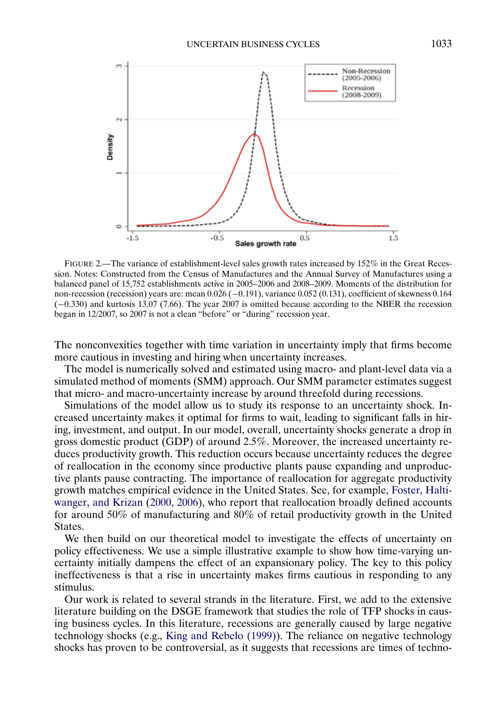<span id="page-2-0"></span>

FIGURE 2.—The variance of establishment-level sales growth rates increased by 152% in the Great Recession. Notes: Constructed from the Census of Manufactures and the Annual Survey of Manufactures using a balanced panel of 15,752 establishments active in 2005–2006 and 2008–2009. Moments of the distribution for non-recession (recession) years are: mean 0.026 (−0-191), variance 0.052 (0.131), coefficient of skewness 0.164 (−0-330) and kurtosis 13.07 (7.66). The year 2007 is omitted because according to the NBER the recession began in 12/2007, so 2007 is not a clean "before" or "during" recession year.

The nonconvexities together with time variation in uncertainty imply that firms become more cautious in investing and hiring when uncertainty increases.

The model is numerically solved and estimated using macro- and plant-level data via a simulated method of moments (SMM) approach. Our SMM parameter estimates suggest that micro- and macro-uncertainty increase by around threefold during recessions.

Simulations of the model allow us to study its response to an uncertainty shock. Increased uncertainty makes it optimal for firms to wait, leading to significant falls in hiring, investment, and output. In our model, overall, uncertainty shocks generate a drop in gross domestic product (GDP) of around 2.5%. Moreover, the increased uncertainty reduces productivity growth. This reduction occurs because uncertainty reduces the degree of reallocation in the economy since productive plants pause expanding and unproductive plants pause contracting. The importance of reallocation for aggregate productivity growth matches empirical evidence in the United States. See, for example, [Foster, Halti](#page-32-0)[wanger, and Krizan](#page-32-0) [\(2000, 2006\)](#page-32-0), who report that reallocation broadly defined accounts for around 50% of manufacturing and 80% of retail productivity growth in the United States.

We then build on our theoretical model to investigate the effects of uncertainty on policy effectiveness. We use a simple illustrative example to show how time-varying uncertainty initially dampens the effect of an expansionary policy. The key to this policy ineffectiveness is that a rise in uncertainty makes firms cautious in responding to any stimulus.

Our work is related to several strands in the literature. First, we add to the extensive literature building on the DSGE framework that studies the role of TFP shocks in causing business cycles. In this literature, recessions are generally caused by large negative technology shocks (e.g., [King and Rebelo \(1999\)\)](#page-33-0). The reliance on negative technology shocks has proven to be controversial, as it suggests that recessions are times of techno-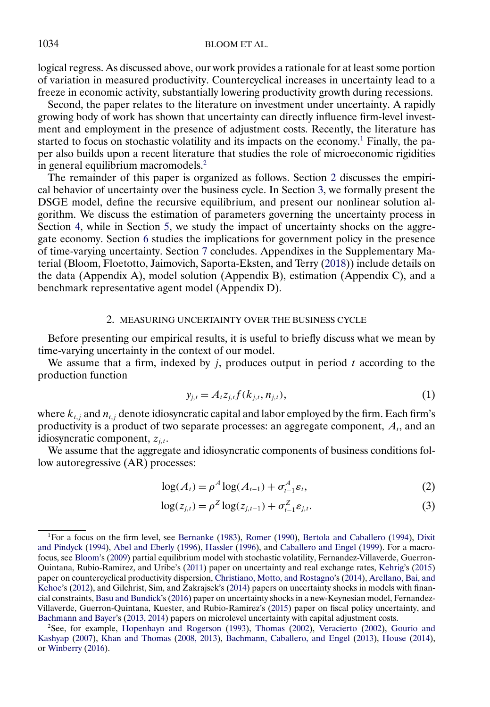### <span id="page-3-0"></span>1034 BLOOM ET AL.

logical regress. As discussed above, our work provides a rationale for at least some portion of variation in measured productivity. Countercyclical increases in uncertainty lead to a freeze in economic activity, substantially lowering productivity growth during recessions.

Second, the paper relates to the literature on investment under uncertainty. A rapidly growing body of work has shown that uncertainty can directly influence firm-level investment and employment in the presence of adjustment costs. Recently, the literature has started to focus on stochastic volatility and its impacts on the economy.<sup>1</sup> Finally, the paper also builds upon a recent literature that studies the role of microeconomic rigidities in general equilibrium macromodels.<sup>2</sup>

The remainder of this paper is organized as follows. Section 2 discusses the empirical behavior of uncertainty over the business cycle. In Section [3,](#page-13-0) we formally present the DSGE model, define the recursive equilibrium, and present our nonlinear solution algorithm. We discuss the estimation of parameters governing the uncertainty process in Section [4,](#page-16-0) while in Section [5,](#page-20-0) we study the impact of uncertainty shocks on the aggregate economy. Section [6](#page-29-0) studies the implications for government policy in the presence of time-varying uncertainty. Section [7](#page-31-0) concludes. Appendixes in the Supplementary Material (Bloom, Floetotto, Jaimovich, Saporta-Eksten, and Terry [\(2018\)](#page-31-0)) include details on the data (Appendix A), model solution (Appendix B), estimation (Appendix C), and a benchmark representative agent model (Appendix D).

#### 2. MEASURING UNCERTAINTY OVER THE BUSINESS CYCLE

Before presenting our empirical results, it is useful to briefly discuss what we mean by time-varying uncertainty in the context of our model.

We assume that a firm, indexed by  $j$ , produces output in period  $t$  according to the production function

$$
y_{j,t} = A_t z_{j,t} f(k_{j,t}, n_{j,t}),
$$
\n(1)

where  $k_{t,j}$  and  $n_{t,j}$  denote idiosyncratic capital and labor employed by the firm. Each firm's productivity is a product of two separate processes: an aggregate component,  $A_t$ , and an idiosyncratic component,  $z_{i,t}$ .

We assume that the aggregate and idiosyncratic components of business conditions follow autoregressive (AR) processes:

$$
\log(A_t) = \rho^A \log(A_{t-1}) + \sigma_{t-1}^A \varepsilon_t,
$$
\n(2)

$$
\log(z_{j,t}) = \rho^Z \log(z_{j,t-1}) + \sigma_{t-1}^Z \varepsilon_{j,t}.
$$
 (3)

<sup>1</sup>For a focus on the firm level, see [Bernanke](#page-31-0) [\(1983\)](#page-31-0), [Romer](#page-33-0) [\(1990\)](#page-33-0), [Bertola and Caballero](#page-31-0) [\(1994\)](#page-31-0), [Dixit](#page-32-0) [and Pindyck](#page-32-0) [\(1994\)](#page-32-0), [Abel and Eberly](#page-31-0) [\(1996\)](#page-31-0), [Hassler](#page-32-0) [\(1996\)](#page-32-0), and [Caballero and Engel](#page-32-0) [\(1999\)](#page-32-0). For a macrofocus, see [Bloom'](#page-31-0)s [\(2009\)](#page-31-0) partial equilibrium model with stochastic volatility, Fernandez-Villaverde, Guerron-Quintana, Rubio-Ramirez, and Uribe's [\(2011\)](#page-32-0) paper on uncertainty and real exchange rates, [Kehrig'](#page-33-0)s [\(2015\)](#page-33-0) paper on countercyclical productivity dispersion, [Christiano, Motto, and Rostagno'](#page-32-0)s [\(2014\)](#page-32-0), [Arellano, Bai, and](#page-31-0) [Kehoe'](#page-31-0)s [\(2012\)](#page-31-0), and Gilchrist, Sim, and Zakrajsek's [\(2014\)](#page-32-0) papers on uncertainty shocks in models with financial constraints, [Basu and Bundick'](#page-31-0)s [\(2016\)](#page-31-0) paper on uncertainty shocks in a new-Keynesian model, Fernandez-Villaverde, Guerron-Quintana, Kuester, and Rubio-Ramirez's [\(2015\)](#page-32-0) paper on fiscal policy uncertainty, and [Bachmann and Bayer'](#page-31-0)s [\(2013, 2014\)](#page-31-0) papers on microlevel uncertainty with capital adjustment costs.

<sup>2</sup>See, for example, [Hopenhayn and Rogerson](#page-32-0) [\(1993\)](#page-32-0), [Thomas](#page-33-0) [\(2002\)](#page-33-0), [Veracierto](#page-33-0) [\(2002\)](#page-33-0), [Gourio and](#page-32-0) [Kashyap](#page-32-0) [\(2007\)](#page-32-0), [Khan and Thomas](#page-33-0) [\(2008, 2013\)](#page-33-0), [Bachmann, Caballero, and Engel](#page-31-0) [\(2013\)](#page-31-0), [House](#page-33-0) [\(2014\)](#page-33-0), or [Winberry](#page-33-0) [\(2016\)](#page-33-0).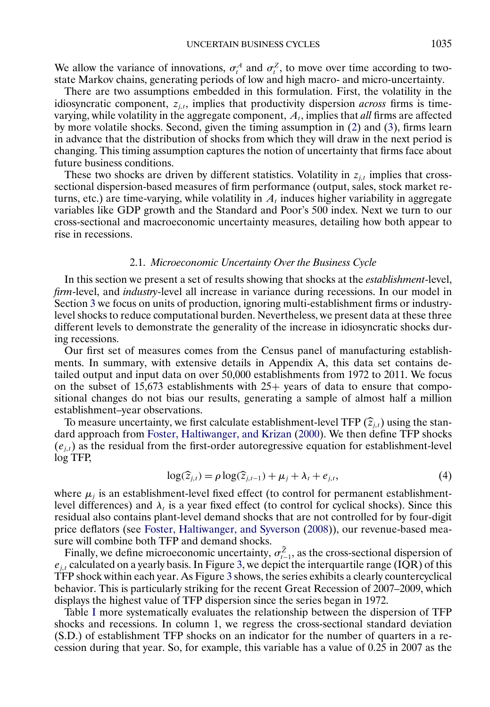<span id="page-4-0"></span>We allow the variance of innovations,  $\sigma_t^A$  and  $\sigma_t^Z$ , to move over time according to twostate Markov chains, generating periods of low and high macro- and micro-uncertainty.

There are two assumptions embedded in this formulation. First, the volatility in the idiosyncratic component,  $z_{i,t}$ , implies that productivity dispersion *across* firms is timevarying, while volatility in the aggregate component,  $A<sub>t</sub>$ , implies that *all* firms are affected by more volatile shocks. Second, given the timing assumption in [\(2\)](#page-3-0) and [\(3\)](#page-3-0), firms learn in advance that the distribution of shocks from which they will draw in the next period is changing. This timing assumption captures the notion of uncertainty that firms face about future business conditions.

These two shocks are driven by different statistics. Volatility in  $z_{i,t}$  implies that crosssectional dispersion-based measures of firm performance (output, sales, stock market returns, etc.) are time-varying, while volatility in  $A_t$  induces higher variability in aggregate variables like GDP growth and the Standard and Poor's 500 index. Next we turn to our cross-sectional and macroeconomic uncertainty measures, detailing how both appear to rise in recessions.

#### 2.1. *Microeconomic Uncertainty Over the Business Cycle*

In this section we present a set of results showing that shocks at the *establishment*-level, *firm*-level, and *industry*-level all increase in variance during recessions. In our model in Section [3](#page-13-0) we focus on units of production, ignoring multi-establishment firms or industrylevel shocks to reduce computational burden. Nevertheless, we present data at these three different levels to demonstrate the generality of the increase in idiosyncratic shocks during recessions.

Our first set of measures comes from the Census panel of manufacturing establishments. In summary, with extensive details in Appendix A, this data set contains detailed output and input data on over 50,000 establishments from 1972 to 2011. We focus on the subset of 15,673 establishments with  $25+$  years of data to ensure that compositional changes do not bias our results, generating a sample of almost half a million establishment–year observations.

To measure uncertainty, we first calculate establishment-level TFP  $(\hat{z}_{j,t})$  using the stan-<br>rd approach from Easter Haltimanear, and Virigo (2000). We than define TFB shacks dard approach from [Foster, Haltiwanger, and Krizan](#page-32-0) [\(2000\)](#page-32-0). We then define TFP shocks  $(e_{i,t})$  as the residual from the first-order autoregressive equation for establishment-level log TFP,

$$
\log(\widehat{z}_{j,t}) = \rho \log(\widehat{z}_{j,t-1}) + \mu_j + \lambda_t + e_{j,t},\tag{4}
$$

where  $\mu_i$  is an establishment-level fixed effect (to control for permanent establishmentlevel differences) and  $\lambda_t$  is a year fixed effect (to control for cyclical shocks). Since this residual also contains plant-level demand shocks that are not controlled for by four-digit price deflators (see [Foster, Haltiwanger, and Syverson](#page-32-0) [\(2008\)](#page-32-0)), our revenue-based measure will combine both TFP and demand shocks.

Finally, we define microeconomic uncertainty,  $\sigma_{t-1}^Z$ , as the cross-sectional dispersion of  $e_{j,t}$  calculated on a yearly basis. In Figure [3,](#page-5-0) we depict the interquartile range (IQR) of this TFP shock within each year. As Figure [3](#page-5-0) shows, the series exhibits a clearly countercyclical behavior. This is particularly striking for the recent Great Recession of 2007–2009, which displays the highest value of TFP dispersion since the series began in 1972.

Table [I](#page-6-0) more systematically evaluates the relationship between the dispersion of TFP shocks and recessions. In column 1, we regress the cross-sectional standard deviation (S.D.) of establishment TFP shocks on an indicator for the number of quarters in a recession during that year. So, for example, this variable has a value of 0.25 in 2007 as the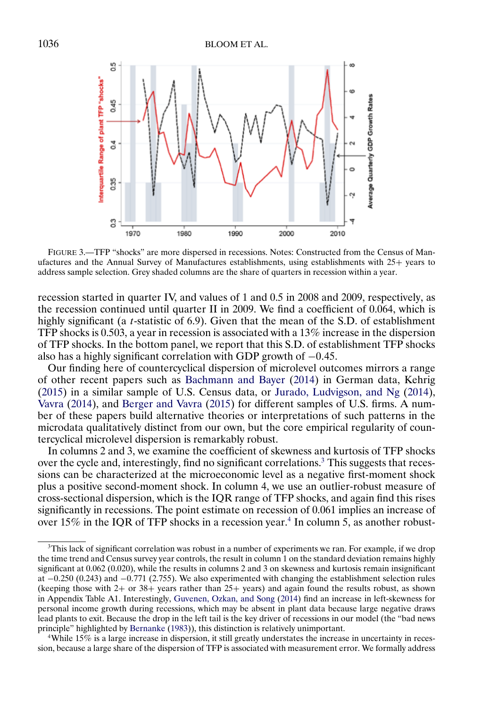<span id="page-5-0"></span>

FIGURE 3.—TFP "shocks" are more dispersed in recessions. Notes: Constructed from the Census of Manufactures and the Annual Survey of Manufactures establishments, using establishments with 25+ years to address sample selection. Grey shaded columns are the share of quarters in recession within a year.

recession started in quarter IV, and values of 1 and 0.5 in 2008 and 2009, respectively, as the recession continued until quarter II in 2009. We find a coefficient of 0.064, which is highly significant (a t-statistic of 6.9). Given that the mean of the S.D. of establishment TFP shocks is 0.503, a year in recession is associated with a 13% increase in the dispersion of TFP shocks. In the bottom panel, we report that this S.D. of establishment TFP shocks also has a highly significant correlation with GDP growth of −0-45.

Our finding here of countercyclical dispersion of microlevel outcomes mirrors a range of other recent papers such as [Bachmann and Bayer](#page-31-0) [\(2014\)](#page-31-0) in German data, Kehrig [\(2015\)](#page-33-0) in a similar sample of U.S. Census data, or [Jurado, Ludvigson, and Ng](#page-33-0) [\(2014\)](#page-33-0), [Vavra](#page-33-0) [\(2014\)](#page-33-0), and [Berger and Vavra](#page-31-0) [\(2015\)](#page-31-0) for different samples of U.S. firms. A number of these papers build alternative theories or interpretations of such patterns in the microdata qualitatively distinct from our own, but the core empirical regularity of countercyclical microlevel dispersion is remarkably robust.

In columns 2 and 3, we examine the coefficient of skewness and kurtosis of TFP shocks over the cycle and, interestingly, find no significant correlations.<sup>3</sup> This suggests that recessions can be characterized at the microeconomic level as a negative first-moment shock plus a positive second-moment shock. In column 4, we use an outlier-robust measure of cross-sectional dispersion, which is the IQR range of TFP shocks, and again find this rises significantly in recessions. The point estimate on recession of 0.061 implies an increase of over  $15\%$  in the IQR of TFP shocks in a recession year.<sup>4</sup> In column 5, as another robust-

 $3$ This lack of significant correlation was robust in a number of experiments we ran. For example, if we drop the time trend and Census survey year controls, the result in column 1 on the standard deviation remains highly significant at 0.062 (0.020), while the results in columns 2 and 3 on skewness and kurtosis remain insignificant at −0-250 (0.243) and −0-771 (2.755). We also experimented with changing the establishment selection rules (keeping those with 2+ or 38+ years rather than 25+ years) and again found the results robust, as shown in Appendix Table A1. Interestingly, [Guvenen, Ozkan, and Song](#page-32-0) [\(2014\)](#page-32-0) find an increase in left-skewness for personal income growth during recessions, which may be absent in plant data because large negative draws lead plants to exit. Because the drop in the left tail is the key driver of recessions in our model (the "bad news principle" highlighted by [Bernanke](#page-31-0) [\(1983\)](#page-31-0)), this distinction is relatively unimportant.

<sup>4</sup>While 15% is a large increase in dispersion, it still greatly understates the increase in uncertainty in recession, because a large share of the dispersion of TFP is associated with measurement error. We formally address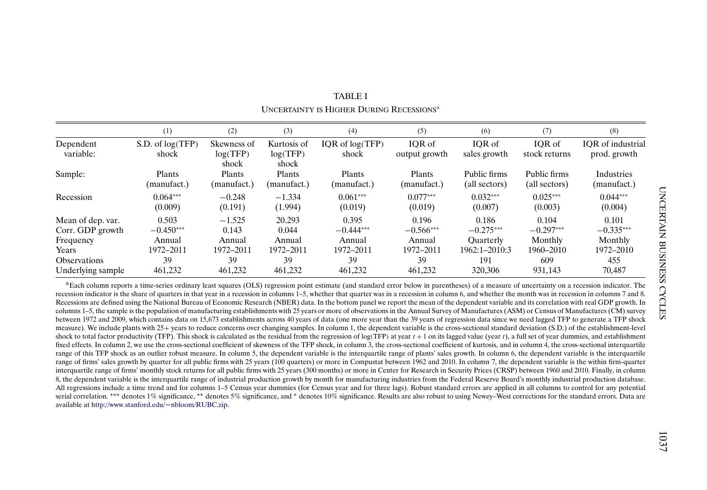<span id="page-6-0"></span>

|                     | (1)                  | (2)               | (3)               | (4)               | (5)           | (6)              | (7)           | (8)                      |
|---------------------|----------------------|-------------------|-------------------|-------------------|---------------|------------------|---------------|--------------------------|
| Dependent           | $S.D.$ of $log(TFP)$ | Skewness of       | Kurtosis of       | IOR of $log(TFP)$ | IOR of        | IOR of           | IOR of        | <b>IOR</b> of industrial |
| variable:           | shock                | log(TFP)<br>shock | log(TFP)<br>shock | shock             | output growth | sales growth     | stock returns | prod. growth             |
| Sample:             | Plants               | Plants            | Plants            | Plants            | Plants        | Public firms     | Public firms  | <b>Industries</b>        |
|                     | (manufact.)          | (manufact.)       | (manufact.)       | (manufact.)       | (manufact.)   | (all sectors)    | (all sectors) | (manufact.)              |
| Recession           | $0.064***$           | $-0.248$          | $-1.334$          | $0.061***$        | $0.077***$    | $0.032***$       | $0.025***$    | $0.044***$               |
|                     | (0.009)              | (0.191)           | (1.994)           | (0.019)           | (0.019)       | (0.007)          | (0.003)       | (0.004)                  |
| Mean of dep. var.   | 0.503                | $-1.525$          | 20.293            | 0.395             | 0.196         | 0.186            | 0.104         | 0.101                    |
| Corr. GDP growth    | $-0.450***$          | 0.143             | 0.044             | $-0.444***$       | $-0.566***$   | $-0.275***$      | $-0.297***$   | $-0.335***$              |
| Frequency           | Annual               | Annual            | Annual            | Annual            | Annual        | <b>Ouarterly</b> | Monthly       | Monthly                  |
| Years               | 1972-2011            | 1972-2011         | 1972-2011         | 1972-2011         | 1972-2011     | 1962:1-2010:3    | 1960-2010     | 1972-2010                |
| <b>Observations</b> | 39                   | 39                | 39                | 39                | 39            | 191              | 609           | 455                      |
| Underlying sample   | 461,232              | 461.232           | 461.232           | 461,232           | 461.232       | 320,306          | 931,143       | 70,487                   |

TABLE IUNCERTAINTY IS HIGHER DURING RECESSIONSa

<sup>a</sup>Each column reports a time-series ordinary least squares (OLS) regression point estimate (and standard error below in parentheses) of a measure of uncertainty on a recession indicator. The recession indicator is the share of quarters in that year in a recession in columns 1–5, whether that quarter was in a recession in column 6, and whether the month was in recession in columns 7 and 8. Recessions are defined using the National Bureau of Economic Research (NBER) data. In the bottom panel we report the mean of the dependent variable and its correlation with real GDP growth. In columns 1–5, the sample is the population of manufacturing establishments with 25 years or more of observations in the Annual Survey of Manufactures (ASM) or Census of Manufactures (CM) survey between 1972 and 2009, which contains data on 15,673 establishments across 40 years of data (one more year than the 39 years of regression data since we need lagged TFP to generate a TFP shock measure). We include plants with 25+ years to reduce concerns over changing samples. In column 1, the dependent variable is the cross-sectional standard deviation (S.D.) of the establishment-level shock to total factor productivity (TFP). This shock is calculated as the residual from the regression of log(TFP) at year  $t + 1$  on its lagged value (year t), a full set of year dummies, and establishment fixed effects. In column 2, we use the cross-sectional coefficient of skewness of the TFP shock, in column 3, the cross-sectional coefficient of kurtosis, and in column 4, the cross-sectional interquartile range of this TFP shock as an outlier robust measure. In column 5, the dependent variable is the interquartile range of plants' sales growth. In column 6, the dependent variable is the interquartile range of firms' sales growth by quarter for all public firms with 25 years (100 quarters) or more in Compustat between 1962 and 2010. In column 7, the dependent variable is the within firm-quarter interquartile range of firms' monthly stock returns for all public firms with 25 years (300 months) or more in Center for Research in Security Prices (CRSP) between 1960 and 2010. Finally, in column 8, the dependent variable is the interquartile range of industrial production growth by month for manufacturing industries from the Federal Reserve Board's monthly industrial production database. All regressions include a time trend and for columns 1–5 Census year dummies (for Census year and for three lags). Robust standard errors are applied in all columns to control for any potential serial correlation. \*\*\* denotes 1% significance, \*\* denotes 5% significance, and \* denotes 10% significance. Results are also robust to using Newey–West corrections for the standard errors. Data are available at <http://www.stanford.edu/~nbloom/RUBC.zip>.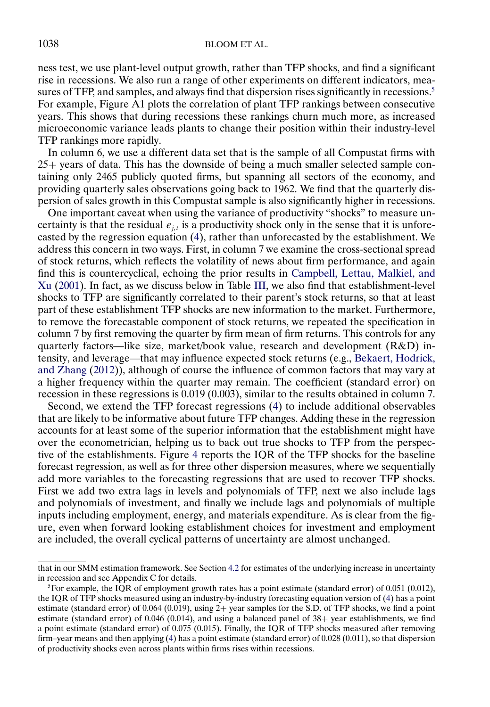<span id="page-7-0"></span>ness test, we use plant-level output growth, rather than TFP shocks, and find a significant rise in recessions. We also run a range of other experiments on different indicators, measures of TFP, and samples, and always find that dispersion rises significantly in recessions.<sup>5</sup> For example, Figure A1 plots the correlation of plant TFP rankings between consecutive years. This shows that during recessions these rankings churn much more, as increased microeconomic variance leads plants to change their position within their industry-level TFP rankings more rapidly.

In column 6, we use a different data set that is the sample of all Compustat firms with 25+ years of data. This has the downside of being a much smaller selected sample containing only 2465 publicly quoted firms, but spanning all sectors of the economy, and providing quarterly sales observations going back to 1962. We find that the quarterly dispersion of sales growth in this Compustat sample is also significantly higher in recessions.

One important caveat when using the variance of productivity "shocks" to measure uncertainty is that the residual  $e_{j,t}$  is a productivity shock only in the sense that it is unforecasted by the regression equation [\(4\)](#page-4-0), rather than unforecasted by the establishment. We address this concern in two ways. First, in column 7 we examine the cross-sectional spread of stock returns, which reflects the volatility of news about firm performance, and again find this is countercyclical, echoing the prior results in [Campbell, Lettau, Malkiel, and](#page-32-0) [Xu](#page-32-0) [\(2001\)](#page-32-0). In fact, as we discuss below in Table [III,](#page-12-0) we also find that establishment-level shocks to TFP are significantly correlated to their parent's stock returns, so that at least part of these establishment TFP shocks are new information to the market. Furthermore, to remove the forecastable component of stock returns, we repeated the specification in column 7 by first removing the quarter by firm mean of firm returns. This controls for any quarterly factors—like size, market/book value, research and development (R&D) intensity, and leverage—that may influence expected stock returns (e.g., [Bekaert, Hodrick,](#page-31-0) [and Zhang](#page-31-0) [\(2012\)](#page-31-0)), although of course the influence of common factors that may vary at a higher frequency within the quarter may remain. The coefficient (standard error) on recession in these regressions is 0.019 (0.003), similar to the results obtained in column 7.

Second, we extend the TFP forecast regressions [\(4\)](#page-4-0) to include additional observables that are likely to be informative about future TFP changes. Adding these in the regression accounts for at least some of the superior information that the establishment might have over the econometrician, helping us to back out true shocks to TFP from the perspective of the establishments. Figure [4](#page-8-0) reports the IQR of the TFP shocks for the baseline forecast regression, as well as for three other dispersion measures, where we sequentially add more variables to the forecasting regressions that are used to recover TFP shocks. First we add two extra lags in levels and polynomials of TFP, next we also include lags and polynomials of investment, and finally we include lags and polynomials of multiple inputs including employment, energy, and materials expenditure. As is clear from the figure, even when forward looking establishment choices for investment and employment are included, the overall cyclical patterns of uncertainty are almost unchanged.

that in our SMM estimation framework. See Section [4.2](#page-18-0) for estimates of the underlying increase in uncertainty in recession and see Appendix C for details.

<sup>&</sup>lt;sup>5</sup>For example, the IQR of employment growth rates has a point estimate (standard error) of 0.051 (0.012), the IQR of TFP shocks measured using an industry-by-industry forecasting equation version of [\(4\)](#page-4-0) has a point estimate (standard error) of 0.064 (0.019), using 2+ year samples for the S.D. of TFP shocks, we find a point estimate (standard error) of 0.046 (0.014), and using a balanced panel of 38+ year establishments, we find a point estimate (standard error) of 0.075 (0.015). Finally, the IQR of TFP shocks measured after removing firm–year means and then applying [\(4\)](#page-4-0) has a point estimate (standard error) of 0.028 (0.011), so that dispersion of productivity shocks even across plants within firms rises within recessions.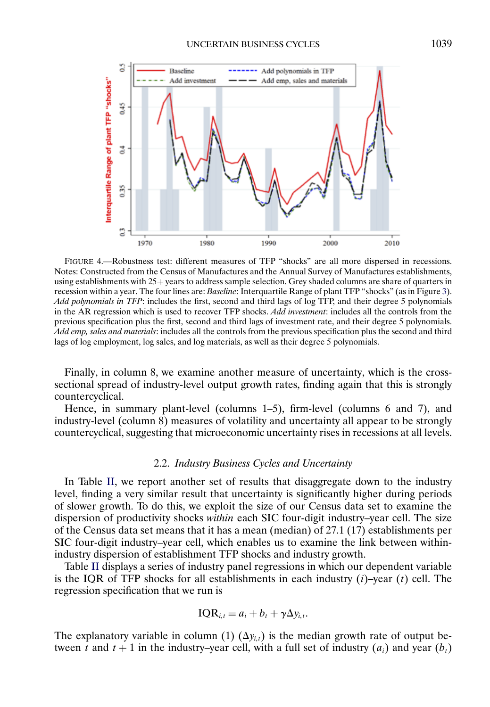<span id="page-8-0"></span>

FIGURE 4.—Robustness test: different measures of TFP "shocks" are all more dispersed in recessions. Notes: Constructed from the Census of Manufactures and the Annual Survey of Manufactures establishments, using establishments with 25+ years to address sample selection. Grey shaded columns are share of quarters in recession within a year. The four lines are: *Baseline*: Interquartile Range of plant TFP "shocks" (as in Figure [3\)](#page-5-0). *Add polynomials in TFP*: includes the first, second and third lags of log TFP, and their degree 5 polynomials in the AR regression which is used to recover TFP shocks. *Add investment*: includes all the controls from the previous specification plus the first, second and third lags of investment rate, and their degree 5 polynomials. *Add emp, sales and materials*: includes all the controls from the previous specification plus the second and third lags of log employment, log sales, and log materials, as well as their degree 5 polynomials.

Finally, in column 8, we examine another measure of uncertainty, which is the crosssectional spread of industry-level output growth rates, finding again that this is strongly countercyclical.

Hence, in summary plant-level (columns 1–5), firm-level (columns 6 and 7), and industry-level (column 8) measures of volatility and uncertainty all appear to be strongly countercyclical, suggesting that microeconomic uncertainty rises in recessions at all levels.

## 2.2. *Industry Business Cycles and Uncertainty*

In Table [II,](#page-9-0) we report another set of results that disaggregate down to the industry level, finding a very similar result that uncertainty is significantly higher during periods of slower growth. To do this, we exploit the size of our Census data set to examine the dispersion of productivity shocks *within* each SIC four-digit industry–year cell. The size of the Census data set means that it has a mean (median) of 27.1 (17) establishments per SIC four-digit industry–year cell, which enables us to examine the link between withinindustry dispersion of establishment TFP shocks and industry growth.

Table [II](#page-9-0) displays a series of industry panel regressions in which our dependent variable is the IQR of TFP shocks for all establishments in each industry  $(i)$ –year  $(t)$  cell. The regression specification that we run is

$$
IQR_{i,t} = a_i + b_t + \gamma \Delta y_{i,t}.
$$

The explanatory variable in column (1)  $(\Delta y_{i,t})$  is the median growth rate of output between t and  $t + 1$  in the industry–year cell, with a full set of industry  $(a_i)$  and year  $(b_i)$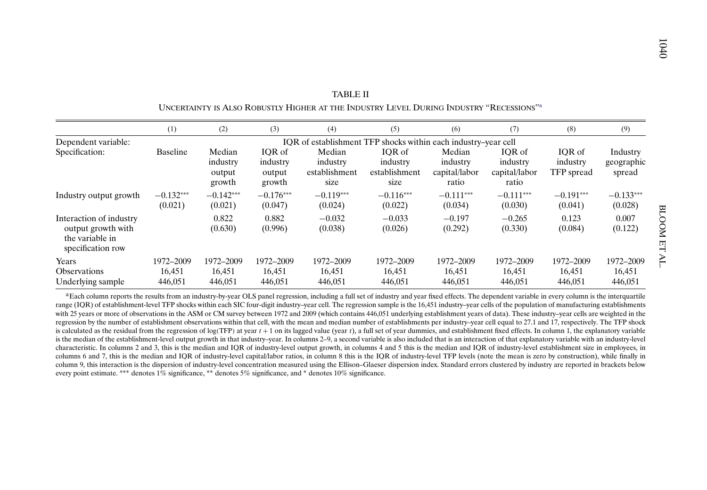| ographic<br>spread                        |  |
|-------------------------------------------|--|
| $0.133***$<br>(0.028)<br>0.007<br>(0.122) |  |

<span id="page-9-0"></span>

|                                                                                       |                                |                                        |                                        | <b>TABLE II</b>                                                                                     |                                             |                                              |                                              |                                  |                                  |       |
|---------------------------------------------------------------------------------------|--------------------------------|----------------------------------------|----------------------------------------|-----------------------------------------------------------------------------------------------------|---------------------------------------------|----------------------------------------------|----------------------------------------------|----------------------------------|----------------------------------|-------|
|                                                                                       |                                |                                        |                                        | UNCERTAINTY IS ALSO ROBUSTLY HIGHER AT THE INDUSTRY LEVEL DURING INDUSTRY "RECESSIONS" <sup>a</sup> |                                             |                                              |                                              |                                  |                                  |       |
|                                                                                       | (1)                            | (2)                                    | (3)                                    | (4)                                                                                                 | (5)                                         | (6)                                          | (7)                                          | (8)                              | (9)                              |       |
| Dependent variable:                                                                   |                                |                                        |                                        | IOR of establishment TFP shocks within each industry-year cell                                      |                                             |                                              |                                              |                                  |                                  |       |
| Specification:                                                                        | <b>Baseline</b>                | Median<br>industry<br>output<br>growth | IOR of<br>industry<br>output<br>growth | Median<br>industry<br>establishment<br>size                                                         | IOR of<br>industry<br>establishment<br>size | Median<br>industry<br>capital/labor<br>ratio | IOR of<br>industry<br>capital/labor<br>ratio | IOR of<br>industry<br>TFP spread | Industry<br>geographic<br>spread |       |
| Industry output growth                                                                | $-0.132***$<br>(0.021)         | $-0.142***$<br>(0.021)                 | $-0.176***$<br>(0.047)                 | $-0.119***$<br>(0.024)                                                                              | $-0.116***$<br>(0.022)                      | $-0.111***$<br>(0.034)                       | $-0.111***$<br>(0.030)                       | $-0.191***$<br>(0.041)           | $-0.133***$<br>(0.028)           |       |
| Interaction of industry<br>output growth with<br>the variable in<br>specification row |                                | 0.822<br>(0.630)                       | 0.882<br>(0.996)                       | $-0.032$<br>(0.038)                                                                                 | $-0.033$<br>(0.026)                         | $-0.197$<br>(0.292)                          | $-0.265$<br>(0.330)                          | 0.123<br>(0.084)                 | 0.007<br>(0.122)                 | BLOOM |
| Years<br><b>Observations</b><br>Underlying sample                                     | 1972-2009<br>16,451<br>446,051 | 1972-2009<br>16,451<br>446,051         | 1972-2009<br>16,451<br>446,051         | 1972-2009<br>16,451<br>446,051                                                                      | 1972-2009<br>16,451<br>446,051              | 1972-2009<br>16,451<br>446,051               | 1972-2009<br>16,451<br>446,051               | 1972-2009<br>16,451<br>446,051   | 1972-2009<br>16,451<br>446,051   |       |

<sup>a</sup>Each column reports the results from an industry-by-year OLS panel regression, including a full set of industry and year fixed effects. The dependent variable in every column is the interquartile range (IOR) of establishment-level TFP shocks within each SIC four-digit industry-year cell. The regression sample is the 16,451 industry-year cells of the population of manufacturing establishments with 25 years or more of observations in the ASM or CM survey between 1972 and 2009 (which contains 446,051 underlying establishment years of data). These industry–year cells are weighted in the regression by the number of establishment observations within that cell, with the mean and median number of establishments per industry–year cell equal to 27.1 and 17, respectively. The TFP shock is calculated as the residual from the regression of log(TFP) at year  $t + 1$  on its lagged value (year t), a full set of year dummies, and establishment fixed effects. In column 1, the explanatory variable is the median of the establishment-level output growth in that industry–year. In columns 2–9, <sup>a</sup> second variable is also included that is an interaction of that explanatory variable with an industry-level characteristic. In columns 2 and 3, this is the median and IQR of industry-level output growth, in columns 4 and 5 this is the median and IQR of industry-level establishment size in employees, in columns 6 and 7, this is the median and IQR of industry-level capital/labor ratios, in column 8 this is the IQR of industry-level TFP levels (note the mean is zero by construction), while finally in column 9, this interaction is the dispersion of industry-level concentration measured using the Ellison–Glaeser dispersion index. Standard errors clustered by industry are reported in brackets below every point estimate. ∗∗∗ denotes 1% significance, ∗∗ denotes 5% significance, and \* denotes 10% significance.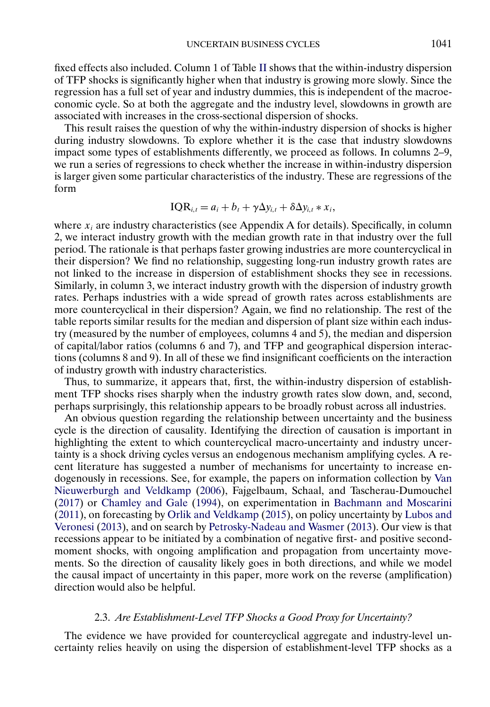<span id="page-10-0"></span>fixed effects also included. Column 1 of Table [II](#page-9-0) shows that the within-industry dispersion of TFP shocks is significantly higher when that industry is growing more slowly. Since the regression has a full set of year and industry dummies, this is independent of the macroeconomic cycle. So at both the aggregate and the industry level, slowdowns in growth are associated with increases in the cross-sectional dispersion of shocks.

This result raises the question of why the within-industry dispersion of shocks is higher during industry slowdowns. To explore whether it is the case that industry slowdowns impact some types of establishments differently, we proceed as follows. In columns 2–9, we run a series of regressions to check whether the increase in within-industry dispersion is larger given some particular characteristics of the industry. These are regressions of the form

$$
IQR_{i,t} = a_i + b_t + \gamma \Delta y_{i,t} + \delta \Delta y_{i,t} * x_i,
$$

where  $x_i$  are industry characteristics (see Appendix A for details). Specifically, in column 2, we interact industry growth with the median growth rate in that industry over the full period. The rationale is that perhaps faster growing industries are more countercyclical in their dispersion? We find no relationship, suggesting long-run industry growth rates are not linked to the increase in dispersion of establishment shocks they see in recessions. Similarly, in column 3, we interact industry growth with the dispersion of industry growth rates. Perhaps industries with a wide spread of growth rates across establishments are more countercyclical in their dispersion? Again, we find no relationship. The rest of the table reports similar results for the median and dispersion of plant size within each industry (measured by the number of employees, columns 4 and 5), the median and dispersion of capital/labor ratios (columns 6 and 7), and TFP and geographical dispersion interactions (columns 8 and 9). In all of these we find insignificant coefficients on the interaction of industry growth with industry characteristics.

Thus, to summarize, it appears that, first, the within-industry dispersion of establishment TFP shocks rises sharply when the industry growth rates slow down, and, second, perhaps surprisingly, this relationship appears to be broadly robust across all industries.

An obvious question regarding the relationship between uncertainty and the business cycle is the direction of causality. Identifying the direction of causation is important in highlighting the extent to which countercyclical macro-uncertainty and industry uncertainty is a shock driving cycles versus an endogenous mechanism amplifying cycles. A recent literature has suggested a number of mechanisms for uncertainty to increase endogenously in recessions. See, for example, the papers on information collection by [Van](#page-33-0) [Nieuwerburgh and Veldkamp](#page-33-0) [\(2006\)](#page-33-0), Fajgelbaum, Schaal, and Tascherau-Dumouchel [\(2017\)](#page-32-0) or [Chamley and Gale](#page-32-0) [\(1994\)](#page-32-0), on experimentation in [Bachmann and Moscarini](#page-31-0) [\(2011\)](#page-31-0), on forecasting by [Orlik and Veldkamp](#page-33-0) [\(2015\)](#page-33-0), on policy uncertainty by [Lubos and](#page-33-0) [Veronesi](#page-33-0) [\(2013\)](#page-33-0), and on search by [Petrosky-Nadeau and Wasmer](#page-33-0) [\(2013\)](#page-33-0). Our view is that recessions appear to be initiated by a combination of negative first- and positive secondmoment shocks, with ongoing amplification and propagation from uncertainty movements. So the direction of causality likely goes in both directions, and while we model the causal impact of uncertainty in this paper, more work on the reverse (amplification) direction would also be helpful.

## 2.3. *Are Establishment-Level TFP Shocks a Good Proxy for Uncertainty?*

The evidence we have provided for countercyclical aggregate and industry-level uncertainty relies heavily on using the dispersion of establishment-level TFP shocks as a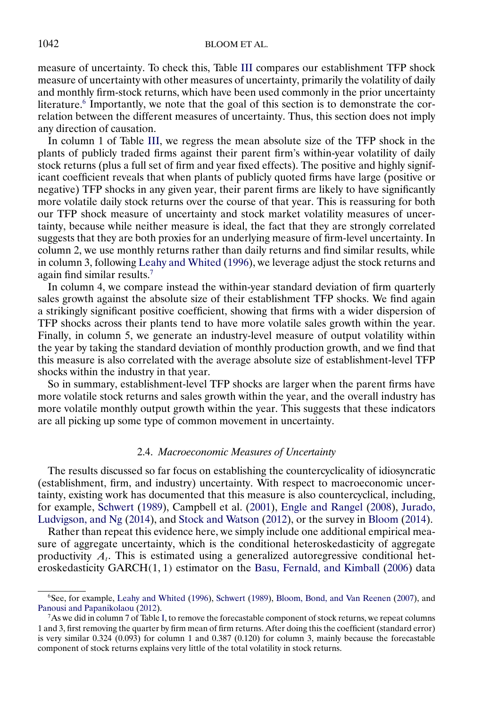<span id="page-11-0"></span>measure of uncertainty. To check this, Table [III](#page-12-0) compares our establishment TFP shock measure of uncertainty with other measures of uncertainty, primarily the volatility of daily and monthly firm-stock returns, which have been used commonly in the prior uncertainty literature.<sup>6</sup> Importantly, we note that the goal of this section is to demonstrate the correlation between the different measures of uncertainty. Thus, this section does not imply any direction of causation.

In column 1 of Table [III,](#page-12-0) we regress the mean absolute size of the TFP shock in the plants of publicly traded firms against their parent firm's within-year volatility of daily stock returns (plus a full set of firm and year fixed effects). The positive and highly significant coefficient reveals that when plants of publicly quoted firms have large (positive or negative) TFP shocks in any given year, their parent firms are likely to have significantly more volatile daily stock returns over the course of that year. This is reassuring for both our TFP shock measure of uncertainty and stock market volatility measures of uncertainty, because while neither measure is ideal, the fact that they are strongly correlated suggests that they are both proxies for an underlying measure of firm-level uncertainty. In column 2, we use monthly returns rather than daily returns and find similar results, while in column 3, following [Leahy and Whited](#page-33-0) [\(1996\)](#page-33-0), we leverage adjust the stock returns and again find similar results.7

In column 4, we compare instead the within-year standard deviation of firm quarterly sales growth against the absolute size of their establishment TFP shocks. We find again a strikingly significant positive coefficient, showing that firms with a wider dispersion of TFP shocks across their plants tend to have more volatile sales growth within the year. Finally, in column 5, we generate an industry-level measure of output volatility within the year by taking the standard deviation of monthly production growth, and we find that this measure is also correlated with the average absolute size of establishment-level TFP shocks within the industry in that year.

So in summary, establishment-level TFP shocks are larger when the parent firms have more volatile stock returns and sales growth within the year, and the overall industry has more volatile monthly output growth within the year. This suggests that these indicators are all picking up some type of common movement in uncertainty.

# 2.4. *Macroeconomic Measures of Uncertainty*

The results discussed so far focus on establishing the countercyclicality of idiosyncratic (establishment, firm, and industry) uncertainty. With respect to macroeconomic uncertainty, existing work has documented that this measure is also countercyclical, including, for example, [Schwert](#page-33-0) [\(1989\)](#page-33-0), Campbell et al. [\(2001\)](#page-32-0), [Engle and Rangel](#page-32-0) [\(2008\)](#page-32-0), [Jurado,](#page-33-0) [Ludvigson, and Ng](#page-33-0) [\(2014\)](#page-33-0), and [Stock and Watson](#page-33-0) [\(2012\)](#page-33-0), or the survey in [Bloom](#page-31-0) [\(2014\)](#page-31-0).

Rather than repeat this evidence here, we simply include one additional empirical measure of aggregate uncertainty, which is the conditional heteroskedasticity of aggregate productivity  $A_t$ . This is estimated using a generalized autoregressive conditional heteroskedasticity  $GARCH(1, 1)$  estimator on the [Basu, Fernald, and Kimball](#page-31-0) [\(2006\)](#page-31-0) data

<sup>6</sup>See, for example, [Leahy and Whited](#page-33-0) [\(1996\)](#page-33-0), [Schwert](#page-33-0) [\(1989\)](#page-33-0), [Bloom, Bond, and Van Reenen](#page-31-0) [\(2007\)](#page-31-0), and [Panousi and Papanikolaou](#page-33-0) [\(2012\)](#page-33-0).

 $7$ As we did in column 7 of Table [I,](#page-6-0) to remove the forecastable component of stock returns, we repeat columns 1 and 3, first removing the quarter by firm mean of firm returns. After doing this the coefficient (standard error) is very similar 0.324 (0.093) for column 1 and 0.387 (0.120) for column 3, mainly because the forecastable component of stock returns explains very little of the total volatility in stock returns.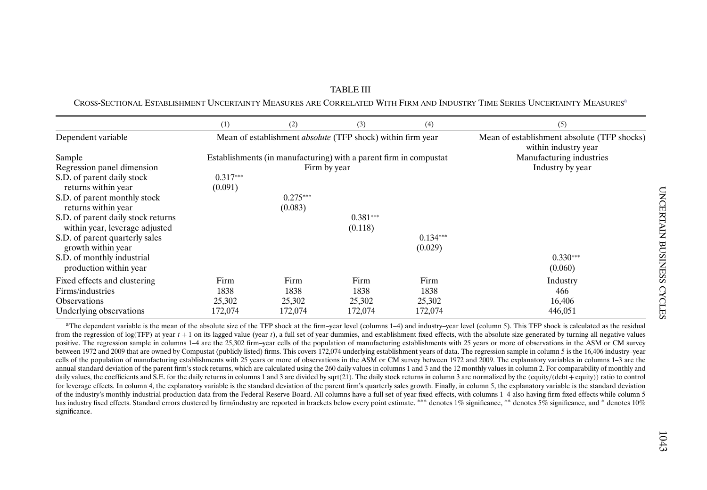|                                                                      | (1)                   | (2)                   | (3)                                                                | (4)                   | (5)                                                                 |
|----------------------------------------------------------------------|-----------------------|-----------------------|--------------------------------------------------------------------|-----------------------|---------------------------------------------------------------------|
| Dependent variable                                                   |                       |                       | Mean of establishment <i>absolute</i> (TFP shock) within firm year |                       | Mean of establishment absolute (TFP shocks)<br>within industry year |
| Sample                                                               |                       |                       | Establishments (in manufacturing) with a parent firm in compustat  |                       | Manufacturing industries                                            |
| Regression panel dimension                                           |                       |                       | Firm by year                                                       |                       | Industry by year                                                    |
| S.D. of parent daily stock<br>returns within year                    | $0.317***$<br>(0.091) |                       |                                                                    |                       |                                                                     |
| S.D. of parent monthly stock<br>returns within year                  |                       | $0.275***$<br>(0.083) |                                                                    |                       |                                                                     |
| S.D. of parent daily stock returns<br>within year, leverage adjusted |                       |                       | $0.381***$<br>(0.118)                                              |                       |                                                                     |
| S.D. of parent quarterly sales<br>growth within year                 |                       |                       |                                                                    | $0.134***$<br>(0.029) |                                                                     |
| S.D. of monthly industrial<br>production within year                 |                       |                       |                                                                    |                       | $0.330***$<br>(0.060)                                               |
| Fixed effects and clustering                                         | Firm                  | Firm                  | Firm                                                               | Firm                  | Industry                                                            |
| Firms/industries                                                     | 1838                  | 1838                  | 1838                                                               | 1838                  | 466                                                                 |
| <b>Observations</b>                                                  | 25,302                | 25,302                | 25,302                                                             | 25,302                | 16,406                                                              |
| Underlying observations                                              | 172,074               | 172,074               | 172,074                                                            | 172,074               | 446,051                                                             |

<span id="page-12-0"></span>TABLE IIICROSS-SECTIONAL ESTABLISHMENT UNCERTAINTY MEASURES ARE CORRELATED WITH FIRM AND INDUSTRY TIME SERIES UNCERTAINTY MEASURESa

<sup>a</sup>The dependent variable is the mean of the absolute size of the TFP shock at the firm–year level (columns 1–4) and industry–year level (column 5). This TFP shock is calculated as the residual from the regression of log(TFP) at year  $t + 1$  on its lagged value (year t), a full set of year dummies, and establishment fixed effects, with the absolute size generated by turning all negative values positive. The regression sample in columns 1–4 are the 25,302 firm–year cells of the population of manufacturing establishments with 25 years or more of observations in the ASM or CM survey between 1972 and 2009 that are owned by Compustat (publicly listed) firms. This covers 172,074 underlying establishment years of data. The regression sample in column 5 is the 16,406 industry–year cells of the population of manufacturing establishments with 25 years or more of observations in the ASM or CM survey between 1972 and 2009. The explanatory variables in columns 1–3 are the annual standard deviation of the parent firm's stock returns, which are calculated using the 260 daily values in columns 1 and 3 and the 12 monthly values in column 2. For comparability of monthly and daily values, the coefficients and S.E. for the daily returns in columns 1 and 3 are divided by sqrt(21). The daily stock returns in column 3 are normalized by the (equity/(debt + equity)) ratio to control for leverage effects. In column 4, the explanatory variable is the standard deviation of the parent firm's quarterly sales growth. Finally, in column 5, the explanatory variable is the standard deviation of the industry's monthly industrial production data from the Federal Reserve Board. All columns have <sup>a</sup> full set of year fixed effects, with columns 1–4 also having firm fixed effects while column 5 has industry fixed effects. Standard errors clustered by firm/industry are reported in brackets below every point estimate. \*\*\* denotes 1% significance, \*\* denotes 5% significance, and \* denotes 1% significance.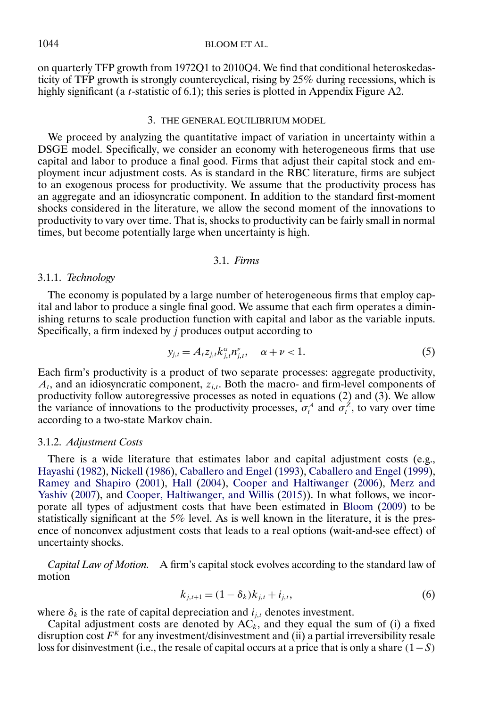# <span id="page-13-0"></span>1044 BLOOM ET AL.

on quarterly TFP growth from 1972Q1 to 2010Q4. We find that conditional heteroskedasticity of TFP growth is strongly countercyclical, rising by 25% during recessions, which is highly significant (a *t*-statistic of 6.1); this series is plotted in Appendix Figure A2.

#### 3. THE GENERAL EQUILIBRIUM MODEL

We proceed by analyzing the quantitative impact of variation in uncertainty within a DSGE model. Specifically, we consider an economy with heterogeneous firms that use capital and labor to produce a final good. Firms that adjust their capital stock and employment incur adjustment costs. As is standard in the RBC literature, firms are subject to an exogenous process for productivity. We assume that the productivity process has an aggregate and an idiosyncratic component. In addition to the standard first-moment shocks considered in the literature, we allow the second moment of the innovations to productivity to vary over time. That is, shocks to productivity can be fairly small in normal times, but become potentially large when uncertainty is high.

# 3.1. *Firms*

# 3.1.1. *Technology*

The economy is populated by a large number of heterogeneous firms that employ capital and labor to produce a single final good. We assume that each firm operates a diminishing returns to scale production function with capital and labor as the variable inputs. Specifically, a firm indexed by j produces output according to

$$
y_{j,t} = A_t z_{j,t} k_{j,t}^{\alpha} n_{j,t}^{\nu}, \quad \alpha + \nu < 1.
$$
 (5)

Each firm's productivity is a product of two separate processes: aggregate productivity,  $A_t$ , and an idiosyncratic component,  $z_{i,t}$ . Both the macro- and firm-level components of productivity follow autoregressive processes as noted in equations (2) and (3). We allow the variance of innovations to the productivity processes,  $\sigma_t^A$  and  $\sigma_t^Z$ , to vary over time according to a two-state Markov chain.

# 3.1.2. *Adjustment Costs*

There is a wide literature that estimates labor and capital adjustment costs (e.g., [Hayashi](#page-32-0) [\(1982\)](#page-32-0), [Nickell](#page-33-0) [\(1986\)](#page-33-0), [Caballero and Engel](#page-32-0) [\(1993\)](#page-32-0), [Caballero and Engel](#page-32-0) [\(1999\)](#page-32-0), [Ramey and Shapiro](#page-33-0) [\(2001\)](#page-33-0), [Hall](#page-32-0) [\(2004\)](#page-32-0), [Cooper and Haltiwanger](#page-32-0) [\(2006\)](#page-32-0), [Merz and](#page-33-0) [Yashiv](#page-33-0) [\(2007\)](#page-33-0), and [Cooper, Haltiwanger, and Willis](#page-32-0) [\(2015\)](#page-32-0)). In what follows, we incorporate all types of adjustment costs that have been estimated in [Bloom](#page-31-0) [\(2009\)](#page-31-0) to be statistically significant at the 5% level. As is well known in the literature, it is the presence of nonconvex adjustment costs that leads to a real options (wait-and-see effect) of uncertainty shocks.

*Capital Law of Motion.* A firm's capital stock evolves according to the standard law of motion

$$
k_{j,t+1} = (1 - \delta_k)k_{j,t} + i_{j,t},
$$
\n(6)

where  $\delta_k$  is the rate of capital depreciation and  $i_{j,t}$  denotes investment.

Capital adjustment costs are denoted by  $AC_k$ , and they equal the sum of (i) a fixed disruption cost  $F<sup>K</sup>$  for any investment/disinvestment and (ii) a partial irreversibility resale loss for disinvestment (i.e., the resale of capital occurs at a price that is only a share  $(1-S)$ )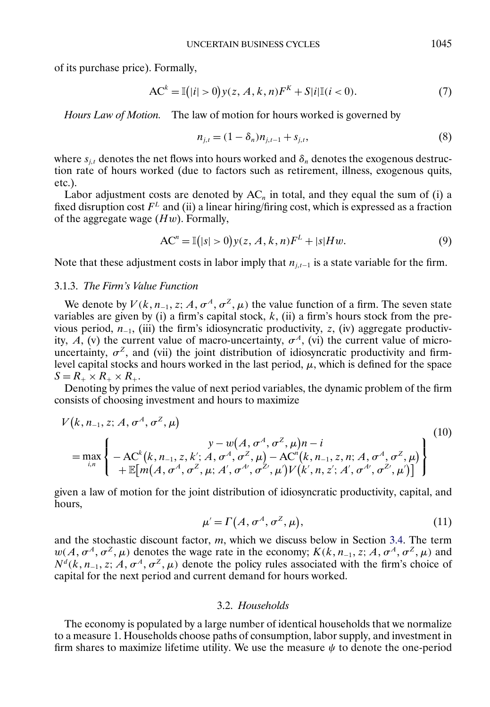<span id="page-14-0"></span>of its purchase price). Formally,

$$
AC^{k} = \mathbb{I}(|i| > 0) y(z, A, k, n)F^{k} + S|i|\mathbb{I}(i < 0).
$$
 (7)

*Hours Law of Motion.* The law of motion for hours worked is governed by

$$
n_{j,t} = (1 - \delta_n) n_{j,t-1} + s_{j,t},
$$
\n(8)

where  $s_{j,t}$  denotes the net flows into hours worked and  $\delta_n$  denotes the exogenous destruction rate of hours worked (due to factors such as retirement, illness, exogenous quits, etc.).

Labor adjustment costs are denoted by  $AC_n$  in total, and they equal the sum of (i) a fixed disruption cost  $F<sup>L</sup>$  and (ii) a linear hiring/firing cost, which is expressed as a fraction of the aggregate wage  $(Hw)$ . Formally,

$$
ACn = \mathbb{I}(|s| > 0) y(z, A, k, n)FL + |s|Hw.
$$
\n(9)

Note that these adjustment costs in labor imply that  $n_{i,t-1}$  is a state variable for the firm.

### 3.1.3. *The Firm's Value Function*

We denote by  $V(k, n_{-1}, z; A, \sigma^A, \sigma^Z, \mu)$  the value function of a firm. The seven state variables are given by (i) a firm's capital stock,  $k$ , (ii) a firm's hours stock from the previous period,  $n_{-1}$ , (iii) the firm's idiosyncratic productivity, z, (iv) aggregate productivity, A, (v) the current value of macro-uncertainty,  $\sigma^A$ , (vi) the current value of microuncertainty,  $\sigma^z$ , and (vii) the joint distribution of idiosyncratic productivity and firmlevel capital stocks and hours worked in the last period,  $\mu$ , which is defined for the space  $S = R_+ \times R_+ \times R_+$ .

Denoting by primes the value of next period variables, the dynamic problem of the firm consists of choosing investment and hours to maximize

$$
V(k, n_{-1}, z; A, \sigma^{A}, \sigma^{Z}, \mu)
$$
  
=  $\max_{i,n}$  { $-AC^{k}(k, n_{-1}, z, k'; A, \sigma^{A}, \sigma^{Z}, \mu) - AC^{n}(k, n_{-1}, z, n; A, \sigma^{A}, \sigma^{Z}, \mu) \n+ \mathbb{E}[m(A, \sigma^{A}, \sigma^{Z}, \mu; A', \sigma^{A'}, \sigma^{Z'}, \mu')V(k', n, z'; A', \sigma^{A'}, \sigma^{Z'}, \mu')]$ } (10)

given a law of motion for the joint distribution of idiosyncratic productivity, capital, and hours,

$$
\mu' = \Gamma\left(A, \sigma^A, \sigma^Z, \mu\right),\tag{11}
$$

and the stochastic discount factor, m, which we discuss below in Section [3.4.](#page-15-0) The term  $w(A, \sigma^A, \sigma^Z, \mu)$  denotes the wage rate in the economy;  $K(k, n_{-1}, z; A, \sigma^A, \sigma^Z, \mu)$  and  $N<sup>d</sup>(k, n<sub>-1</sub>, z; A, \sigma<sup>A</sup>, \sigma<sup>Z</sup>, \mu)$  denote the policy rules associated with the firm's choice of capital for the next period and current demand for hours worked.

#### 3.2. *Households*

The economy is populated by a large number of identical households that we normalize to a measure 1. Households choose paths of consumption, labor supply, and investment in firm shares to maximize lifetime utility. We use the measure  $\psi$  to denote the one-period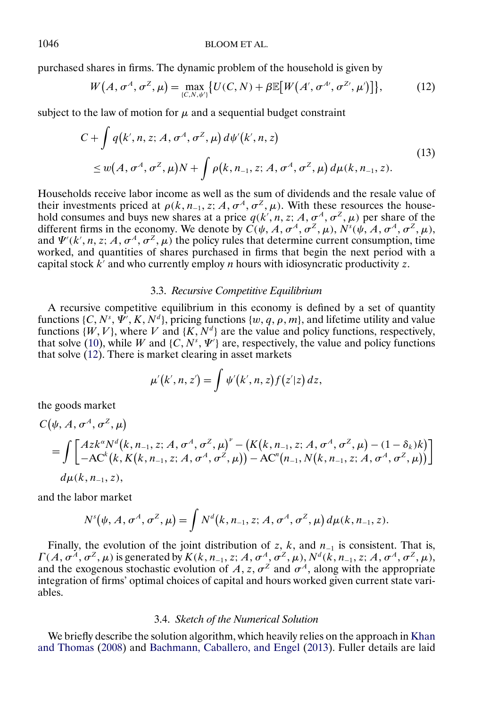<span id="page-15-0"></span>purchased shares in firms. The dynamic problem of the household is given by

$$
W(A, \sigma^A, \sigma^Z, \mu) = \max_{\{C, N, \psi'\}} \{ U(C, N) + \beta \mathbb{E} \big[ W(A', \sigma^{A'}, \sigma^{Z'}, \mu') \big] \},\tag{12}
$$

subject to the law of motion for  $\mu$  and a sequential budget constraint

$$
C + \int q(k', n, z; A, \sigma^A, \sigma^Z, \mu) d\psi'(k', n, z)
$$
  
\n
$$
\leq w(A, \sigma^A, \sigma^Z, \mu)N + \int \rho(k, n_{-1}, z; A, \sigma^A, \sigma^Z, \mu) d\mu(k, n_{-1}, z).
$$
\n(13)

Households receive labor income as well as the sum of dividends and the resale value of their investments priced at  $\rho(k, n_{-1}, z; A, \sigma^A, \sigma^Z, \mu)$ . With these resources the household consumes and buys new shares at a price  $q(k', n, z; A, \sigma^A, \sigma^Z, \mu)$  per share of the different firms in the economy. We denote by  $C(\psi, A, \sigma^A, \sigma^Z, \mu)$ ,  $N^s(\psi, A, \sigma^A, \sigma^Z, \mu)$ , and  $\Psi'(k', n, z; A, \sigma^A, \sigma^Z, \mu)$  the policy rules that determine current consumption, time worked, and quantities of shares purchased in firms that begin the next period with a capital stock  $k'$  and who currently employ *n* hours with idiosyncratic productivity z.

## 3.3. *Recursive Competitive Equilibrium*

A recursive competitive equilibrium in this economy is defined by a set of quantity functions {C, N<sup>s</sup>,  $\Psi$ ', K, N<sup>d</sup>}, pricing functions {w, q,  $\rho$ , m}, and lifetime utility and value functions  $\{W, V\}$ , where V and  $\{K, N^d\}$  are the value and policy functions, respectively, that solve [\(10\)](#page-14-0), while W and {C,  $N^s$ ,  $\Psi'$ } are, respectively, the value and policy functions that solve (12). There is market clearing in asset markets

$$
\mu'(k',n,z')=\int \psi'(k',n,z)f(z'|z)\,dz,
$$

the goods market

$$
C(\psi, A, \sigma^A, \sigma^Z, \mu)
$$
  
= 
$$
\int \left[ \begin{array}{c} Az k^{\alpha} N^d(k, n_{-1}, z; A, \sigma^A, \sigma^Z, \mu)^{\nu} - (K(k, n_{-1}, z; A, \sigma^A, \sigma^Z, \mu) - (1 - \delta_k)k) \\ -AC^k(k, K(k, n_{-1}, z; A, \sigma^A, \sigma^Z, \mu)) - AC^{\nu}(n_{-1}, N(k, n_{-1}, z; A, \sigma^A, \sigma^Z, \mu)) \end{array} \right]
$$
  

$$
d\mu(k, n_{-1}, z),
$$

and the labor market

$$
N^{s}(\psi, A, \sigma^{A}, \sigma^{Z}, \mu) = \int N^{d}(k, n_{-1}, z; A, \sigma^{A}, \sigma^{Z}, \mu) d\mu(k, n_{-1}, z).
$$

Finally, the evolution of the joint distribution of z, k, and  $n_{-1}$  is consistent. That is, Γ (A,  $\sigma^A$ ,  $\sigma^Z$ , μ) is generated by  $K(k, n_{-1}, z; A, \sigma^A, \sigma^Z, \mu)$ ,  $N^d(k, n_{-1}, z; A, \sigma^A, \sigma^Z, \mu)$ , and the exogenous stochastic evolution of A, z,  $\sigma^2$  and  $\sigma^A$ , along with the appropriate integration of firms' optimal choices of capital and hours worked given current state variables.

### 3.4. *Sketch of the Numerical Solution*

We briefly describe the solution algorithm, which heavily relies on the approach in [Khan](#page-33-0) [and Thomas](#page-33-0) [\(2008\)](#page-33-0) and [Bachmann, Caballero, and Engel](#page-31-0) [\(2013\)](#page-31-0). Fuller details are laid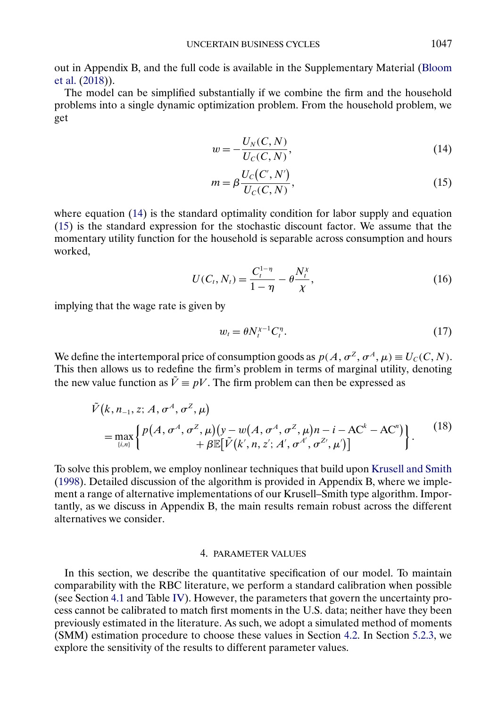<span id="page-16-0"></span>out in Appendix B, and the full code is available in the Supplementary Material [\(Bloom](#page-31-0) [et al.](#page-31-0) [\(2018\)](#page-31-0)).

The model can be simplified substantially if we combine the firm and the household problems into a single dynamic optimization problem. From the household problem, we get

$$
w = -\frac{U_N(C, N)}{U_C(C, N)},\tag{14}
$$

$$
m = \beta \frac{U_C(C', N')}{U_C(C, N)},\tag{15}
$$

where equation (14) is the standard optimality condition for labor supply and equation (15) is the standard expression for the stochastic discount factor. We assume that the momentary utility function for the household is separable across consumption and hours worked,

$$
U(C_t, N_t) = \frac{C_t^{1-\eta}}{1-\eta} - \theta \frac{N_t^{\chi}}{\chi},
$$
\n(16)

implying that the wage rate is given by

$$
w_t = \theta N_t^{\chi-1} C_t^{\eta}.
$$
\n<sup>(17)</sup>

We define the intertemporal price of consumption goods as  $p(A, \sigma^Z, \sigma^A, \mu) \equiv U_C(C, N)$ . This then allows us to redefine the firm's problem in terms of marginal utility, denoting the new value function as  $\tilde{V} \equiv pV$ . The firm problem can then be expressed as

$$
\tilde{V}(k, n_{-1}, z; A, \sigma^A, \sigma^Z, \mu)
$$
\n
$$
= \max_{\{i,n\}} \left\{ P(A, \sigma^A, \sigma^Z, \mu) (y - w(A, \sigma^A, \sigma^Z, \mu) n - i - AC^k - AC^n) \right\}.
$$
\n
$$
(18)
$$
\n
$$
+ \beta \mathbb{E} [\tilde{V}(k', n, z'; A', \sigma^{A'}, \sigma^{Z'}, \mu')]
$$

To solve this problem, we employ nonlinear techniques that build upon [Krusell and Smith](#page-33-0) [\(1998\)](#page-33-0). Detailed discussion of the algorithm is provided in Appendix B, where we implement a range of alternative implementations of our Krusell–Smith type algorithm. Importantly, as we discuss in Appendix B, the main results remain robust across the different alternatives we consider.

# 4. PARAMETER VALUES

In this section, we describe the quantitative specification of our model. To maintain comparability with the RBC literature, we perform a standard calibration when possible (see Section [4.1](#page-18-0) and Table [IV\)](#page-17-0). However, the parameters that govern the uncertainty process cannot be calibrated to match first moments in the U.S. data; neither have they been previously estimated in the literature. As such, we adopt a simulated method of moments (SMM) estimation procedure to choose these values in Section [4.2.](#page-18-0) In Section [5.2.3,](#page-25-0) we explore the sensitivity of the results to different parameter values.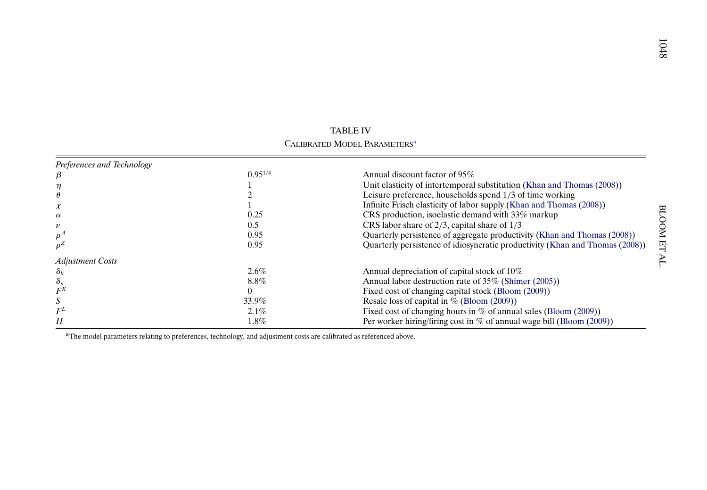<span id="page-17-0"></span>

|                            |              | TABLE IV                                                                     |     |
|----------------------------|--------------|------------------------------------------------------------------------------|-----|
|                            |              | CALIBRATED MODEL PARAMETERS <sup>a</sup>                                     |     |
| Preferences and Technology |              |                                                                              |     |
|                            | $0.95^{1/4}$ | Annual discount factor of 95%                                                |     |
|                            |              | Unit elasticity of intertemporal substitution (Khan and Thomas (2008))       |     |
|                            |              | Leisure preference, households spend 1/3 of time working                     |     |
| X                          |              | Infinite Frisch elasticity of labor supply (Khan and Thomas (2008))          |     |
| $\alpha$                   | 0.25         | CRS production, isoelastic demand with 33% markup                            |     |
|                            | 0.5          | CRS labor share of $2/3$ , capital share of $1/3$                            |     |
| $\rho^A$                   | 0.95         | Quarterly persistence of aggregate productivity (Khan and Thomas (2008))     |     |
|                            | 0.95         | Quarterly persistence of idiosyncratic productivity (Khan and Thomas (2008)) | प्प |
| <b>Adjustment Costs</b>    |              |                                                                              |     |
| $\delta_k$                 | $2.6\%$      | Annual depreciation of capital stock of 10%                                  |     |
| $\delta_n$                 | 8.8%         | Annual labor destruction rate of 35% (Shimer (2005))                         |     |
| $F^K$                      |              | Fixed cost of changing capital stock (Bloom (2009))                          |     |
|                            | 33.9%        | Resale loss of capital in $\%$ (Bloom (2009))                                |     |
|                            | $2.1\%$      | Fixed cost of changing hours in $\%$ of annual sales (Bloom (2009))          |     |
| Н                          | $1.8\%$      | Per worker hiring/firing cost in $%$ of annual wage bill (Bloom (2009))      |     |

<sup>a</sup>The model parameters relating to preferences, technology, and adjustment costs are calibrated as referenced above.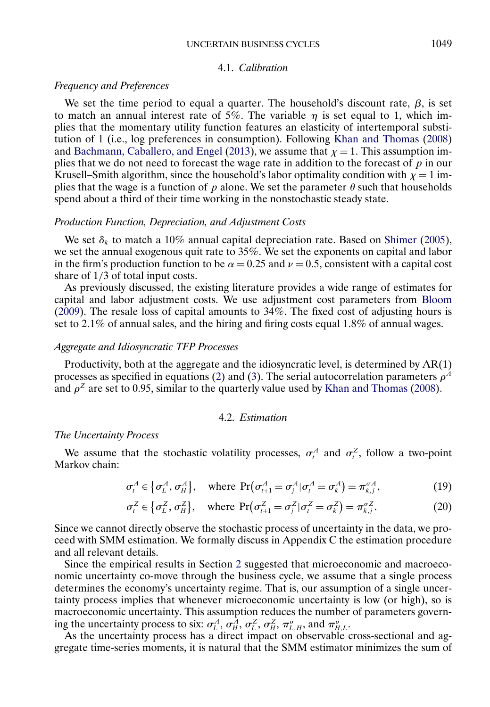#### UNCERTAIN BUSINESS CYCLES 1049

### 4.1. *Calibration*

# <span id="page-18-0"></span>*Frequency and Preferences*

We set the time period to equal a quarter. The household's discount rate,  $\beta$ , is set to match an annual interest rate of 5%. The variable  $\eta$  is set equal to 1, which implies that the momentary utility function features an elasticity of intertemporal substitution of 1 (i.e., log preferences in consumption). Following [Khan and Thomas](#page-33-0) [\(2008\)](#page-33-0) and [Bachmann, Caballero, and Engel](#page-31-0) [\(2013\)](#page-31-0), we assume that  $\chi = 1$ . This assumption implies that we do not need to forecast the wage rate in addition to the forecast of  $p$  in our Krusell–Smith algorithm, since the household's labor optimality condition with  $\chi = 1$  implies that the wage is a function of p alone. We set the parameter  $\theta$  such that households spend about a third of their time working in the nonstochastic steady state.

### *Production Function, Depreciation, and Adjustment Costs*

We set  $\delta_k$  to match a 10% annual capital depreciation rate. Based on [Shimer](#page-33-0) [\(2005\)](#page-33-0), we set the annual exogenous quit rate to 35%. We set the exponents on capital and labor in the firm's production function to be  $\alpha = 0.25$  and  $\nu = 0.5$ , consistent with a capital cost share of 1/3 of total input costs.

As previously discussed, the existing literature provides a wide range of estimates for capital and labor adjustment costs. We use adjustment cost parameters from [Bloom](#page-31-0) [\(2009\)](#page-31-0). The resale loss of capital amounts to 34%. The fixed cost of adjusting hours is set to 2.1% of annual sales, and the hiring and firing costs equal  $1.8\%$  of annual wages.

# *Aggregate and Idiosyncratic TFP Processes*

Productivity, both at the aggregate and the idiosyncratic level, is determined by AR(1) processes as specified in equations [\(2\)](#page-3-0) and [\(3\)](#page-3-0). The serial autocorrelation parameters  $\rho^A$ and  $\rho^2$  are set to 0.95, similar to the quarterly value used by [Khan and Thomas](#page-33-0) [\(2008\)](#page-33-0).

# 4.2. *Estimation*

#### *The Uncertainty Process*

We assume that the stochastic volatility processes,  $\sigma_t^A$  and  $\sigma_t^Z$ , follow a two-point Markov chain:

$$
\sigma_t^A \in \left\{ \sigma_L^A, \sigma_H^A \right\}, \quad \text{where } \Pr(\sigma_{t+1}^A = \sigma_j^A | \sigma_t^A = \sigma_k^A) = \pi_{k,j}^{\sigma A}, \tag{19}
$$

$$
\sigma_t^Z \in \left\{ \sigma_L^Z, \sigma_H^Z \right\}, \quad \text{where } \Pr(\sigma_{t+1}^Z = \sigma_j^Z | \sigma_t^Z = \sigma_k^Z) = \pi_{k,j}^{\sigma Z}. \tag{20}
$$

Since we cannot directly observe the stochastic process of uncertainty in the data, we proceed with SMM estimation. We formally discuss in Appendix C the estimation procedure and all relevant details.

Since the empirical results in Section [2](#page-3-0) suggested that microeconomic and macroeconomic uncertainty co-move through the business cycle, we assume that a single process determines the economy's uncertainty regime. That is, our assumption of a single uncertainty process implies that whenever microeconomic uncertainty is low (or high), so is macroeconomic uncertainty. This assumption reduces the number of parameters governing the uncertainty process to six:  $\sigma_L^A$ ,  $\sigma_H^A$ ,  $\sigma_L^Z$ ,  $\sigma_H^Z$ ,  $\pi_{L,H}^{\sigma}$ , and  $\pi_{H,L}^{\sigma}$ .

As the uncertainty process has a direct impact on observable cross-sectional and aggregate time-series moments, it is natural that the SMM estimator minimizes the sum of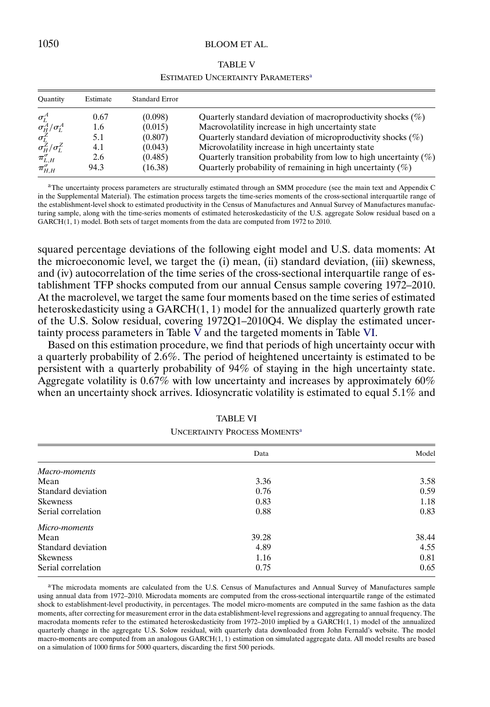### <span id="page-19-0"></span>1050 BLOOM ET AL.

#### TABLE V

| ESTIMATED UNCERTAINTY PARAMETERS <sup>a</sup> |  |
|-----------------------------------------------|--|
|-----------------------------------------------|--|

| Quantity                | Estimate | <b>Standard Error</b> |                                                                      |
|-------------------------|----------|-----------------------|----------------------------------------------------------------------|
| $\sigma_I^A$            | 0.67     | (0.098)               | Quarterly standard deviation of macroproductivity shocks $(\%)$      |
| $\sigma_H^A/\sigma_I^A$ | 1.6      | (0.015)               | Macrovolatility increase in high uncertainty state                   |
| $\sigma_r^Z$            | 5.1      | (0.807)               | Quarterly standard deviation of microproductivity shocks $(\%)$      |
| $\sigma_H^Z/\sigma_L^Z$ | 4.1      | (0.043)               | Microvolatility increase in high uncertainty state                   |
| $\pi_{L,H}^{\sigma}$    | 2.6      | (0.485)               | Quarterly transition probability from low to high uncertainty $(\%)$ |
| $\pi_{H,H}^{\sigma}$    | 94.3     | (16.38)               | Quarterly probability of remaining in high uncertainty $(\%)$        |

aThe uncertainty process parameters are structurally estimated through an SMM procedure (see the main text and Appendix C in the Supplemental Material). The estimation process targets the time-series moments of the cross-sectional interquartile range of the establishment-level shock to estimated productivity in the Census of Manufactures and Annual Survey of Manufactures manufacturing sample, along with the time-series moments of estimated heteroskedasticity of the U.S. aggregate Solow residual based on a  $GARCH(1, 1)$  model. Both sets of target moments from the data are computed from 1972 to 2010.

squared percentage deviations of the following eight model and U.S. data moments: At the microeconomic level, we target the (i) mean, (ii) standard deviation, (iii) skewness, and (iv) autocorrelation of the time series of the cross-sectional interquartile range of establishment TFP shocks computed from our annual Census sample covering 1972–2010. At the macrolevel, we target the same four moments based on the time series of estimated heteroskedasticity using a  $GARCH(1, 1)$  model for the annualized quarterly growth rate of the U.S. Solow residual, covering 1972Q1–2010Q4. We display the estimated uncertainty process parameters in Table V and the targeted moments in Table VI.

Based on this estimation procedure, we find that periods of high uncertainty occur with a quarterly probability of 2-6%. The period of heightened uncertainty is estimated to be persistent with a quarterly probability of 94% of staying in the high uncertainty state. Aggregate volatility is 0.67% with low uncertainty and increases by approximately 60% when an uncertainty shock arrives. Idiosyncratic volatility is estimated to equal 5.1% and

|                    | Data  | Model |
|--------------------|-------|-------|
| Macro-moments      |       |       |
| Mean               | 3.36  | 3.58  |
| Standard deviation | 0.76  | 0.59  |
| <b>Skewness</b>    | 0.83  | 1.18  |
| Serial correlation | 0.88  | 0.83  |
| Micro-moments      |       |       |
| Mean               | 39.28 | 38.44 |
| Standard deviation | 4.89  | 4.55  |
| <b>Skewness</b>    | 1.16  | 0.81  |
| Serial correlation | 0.75  | 0.65  |

# TABLE VI UNCERTAINTY PROCESS MOMENTSa

aThe microdata moments are calculated from the U.S. Census of Manufactures and Annual Survey of Manufactures sample using annual data from 1972–2010. Microdata moments are computed from the cross-sectional interquartile range of the estimated shock to establishment-level productivity, in percentages. The model micro-moments are computed in the same fashion as the data moments, after correcting for measurement error in the data establishment-level regressions and aggregating to annual frequency. The macrodata moments refer to the estimated heteroskedasticity from 1972-2010 implied by a GARCH(1,1) model of the annualized quarterly change in the aggregate U.S. Solow residual, with quarterly data downloaded from John Fernald's website. The model macro-moments are computed from an analogous GARCH(1, 1) estimation on simulated aggregate data. All model results are based on a simulation of 1000 firms for 5000 quarters, discarding the first 500 periods.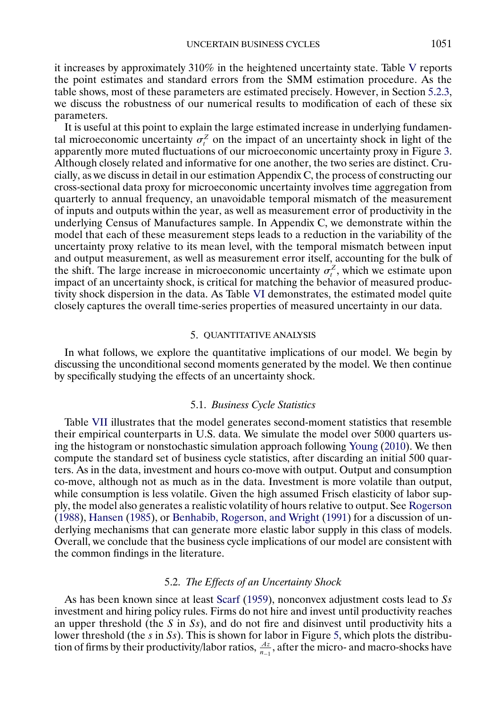<span id="page-20-0"></span>it increases by approximately 310% in the heightened uncertainty state. Table [V](#page-19-0) reports the point estimates and standard errors from the SMM estimation procedure. As the table shows, most of these parameters are estimated precisely. However, in Section [5.2.3,](#page-25-0) we discuss the robustness of our numerical results to modification of each of these six parameters.

It is useful at this point to explain the large estimated increase in underlying fundamental microeconomic uncertainty  $\sigma_t^Z$  on the impact of an uncertainty shock in light of the apparently more muted fluctuations of our microeconomic uncertainty proxy in Figure [3.](#page-5-0) Although closely related and informative for one another, the two series are distinct. Crucially, as we discuss in detail in our estimation Appendix C, the process of constructing our cross-sectional data proxy for microeconomic uncertainty involves time aggregation from quarterly to annual frequency, an unavoidable temporal mismatch of the measurement of inputs and outputs within the year, as well as measurement error of productivity in the underlying Census of Manufactures sample. In Appendix C, we demonstrate within the model that each of these measurement steps leads to a reduction in the variability of the uncertainty proxy relative to its mean level, with the temporal mismatch between input and output measurement, as well as measurement error itself, accounting for the bulk of the shift. The large increase in microeconomic uncertainty  $\sigma_t^Z$ , which we estimate upon impact of an uncertainty shock, is critical for matching the behavior of measured productivity shock dispersion in the data. As Table [VI](#page-19-0) demonstrates, the estimated model quite closely captures the overall time-series properties of measured uncertainty in our data.

#### 5. QUANTITATIVE ANALYSIS

In what follows, we explore the quantitative implications of our model. We begin by discussing the unconditional second moments generated by the model. We then continue by specifically studying the effects of an uncertainty shock.

#### 5.1. *Business Cycle Statistics*

Table [VII](#page-21-0) illustrates that the model generates second-moment statistics that resemble their empirical counterparts in U.S. data. We simulate the model over 5000 quarters using the histogram or nonstochastic simulation approach following [Young](#page-34-0) [\(2010\)](#page-34-0). We then compute the standard set of business cycle statistics, after discarding an initial 500 quarters. As in the data, investment and hours co-move with output. Output and consumption co-move, although not as much as in the data. Investment is more volatile than output, while consumption is less volatile. Given the high assumed Frisch elasticity of labor supply, the model also generates a realistic volatility of hours relative to output. See [Rogerson](#page-33-0) [\(1988\)](#page-33-0), [Hansen](#page-32-0) [\(1985\)](#page-32-0), or [Benhabib, Rogerson, and Wright](#page-31-0) [\(1991\)](#page-31-0) for a discussion of underlying mechanisms that can generate more elastic labor supply in this class of models. Overall, we conclude that the business cycle implications of our model are consistent with the common findings in the literature.

#### 5.2. *The Effects of an Uncertainty Shock*

As has been known since at least [Scarf](#page-33-0) [\(1959\)](#page-33-0), nonconvex adjustment costs lead to Ss investment and hiring policy rules. Firms do not hire and invest until productivity reaches an upper threshold (the S in Ss), and do not fire and disinvest until productivity hits a lower threshold (the s in Ss). This is shown for labor in Figure [5,](#page-21-0) which plots the distribution of firms by their productivity/labor ratios,  $\frac{Az}{n-1}$ , after the micro- and macro-shocks have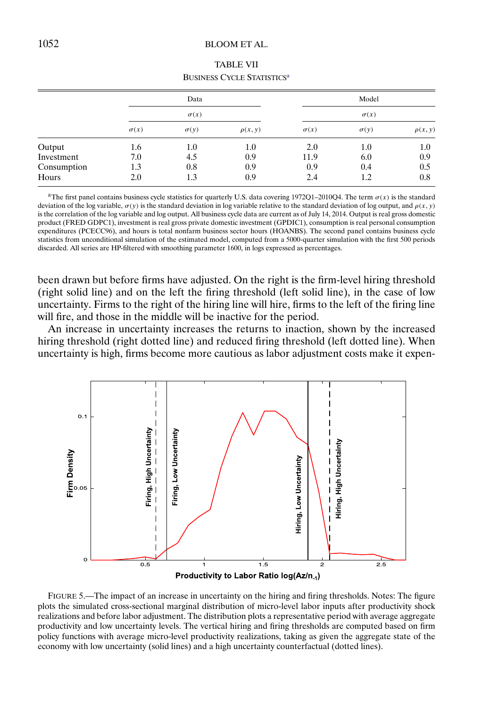# <span id="page-21-0"></span>1052 BLOOM ET AL.

|             |             |             | <u> 2001:1200 CIUS ON HILDING</u> |             |             |              |
|-------------|-------------|-------------|-----------------------------------|-------------|-------------|--------------|
|             |             | Data        |                                   |             | Model       |              |
|             |             | $\sigma(x)$ |                                   | $\sigma(x)$ |             |              |
|             | $\sigma(x)$ | $\sigma(y)$ | $\rho(x, y)$                      | $\sigma(x)$ | $\sigma(y)$ | $\rho(x, y)$ |
| Output      | 1.6         | $1.0\,$     | 1.0                               | 2.0         | 1.0         | 1.0          |
| Investment  | 7.0         | 4.5         | 0.9                               | 11.9        | 6.0         | 0.9          |
| Consumption | 1.3         | 0.8         | 0.9                               | 0.9         | 0.4         | 0.5          |
| Hours       | 2.0         | 1.3         | 0.9                               | 2.4         | 1.2         | 0.8          |

| <b>TABLE VII</b>                             |
|----------------------------------------------|
| <b>BUSINESS CYCLE STATISTICS<sup>a</sup></b> |

<sup>a</sup>The first panel contains business cycle statistics for quarterly U.S. data covering 1972Q1–2010Q4. The term  $\sigma(x)$  is the standard deviation of the log variable,  $\sigma(y)$  is the standard deviation in log variable relative to the standard deviation of log output, and  $\rho(x, y)$ is the correlation of the log variable and log output. All business cycle data are current as of July 14, 2014. Output is real gross domestic product (FRED GDPC1), investment is real gross private domestic investment (GPDIC1), consumption is real personal consumption expenditures (PCECC96), and hours is total nonfarm business sector hours (HOANBS). The second panel contains business cycle statistics from unconditional simulation of the estimated model, computed from a 5000-quarter simulation with the first 500 periods discarded. All series are HP-filtered with smoothing parameter 1600, in logs expressed as percentages.

been drawn but before firms have adjusted. On the right is the firm-level hiring threshold (right solid line) and on the left the firing threshold (left solid line), in the case of low uncertainty. Firms to the right of the hiring line will hire, firms to the left of the firing line will fire, and those in the middle will be inactive for the period.

An increase in uncertainty increases the returns to inaction, shown by the increased hiring threshold (right dotted line) and reduced firing threshold (left dotted line). When uncertainty is high, firms become more cautious as labor adjustment costs make it expen-



FIGURE 5.—The impact of an increase in uncertainty on the hiring and firing thresholds. Notes: The figure plots the simulated cross-sectional marginal distribution of micro-level labor inputs after productivity shock realizations and before labor adjustment. The distribution plots a representative period with average aggregate productivity and low uncertainty levels. The vertical hiring and firing thresholds are computed based on firm policy functions with average micro-level productivity realizations, taking as given the aggregate state of the economy with low uncertainty (solid lines) and a high uncertainty counterfactual (dotted lines).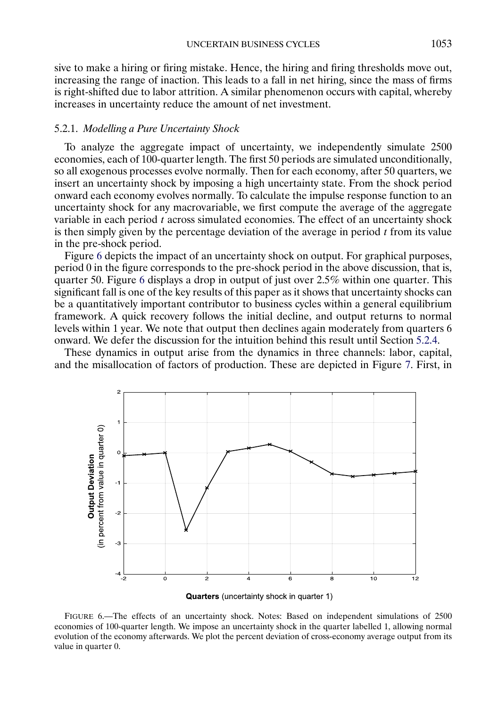<span id="page-22-0"></span>sive to make a hiring or firing mistake. Hence, the hiring and firing thresholds move out, increasing the range of inaction. This leads to a fall in net hiring, since the mass of firms is right-shifted due to labor attrition. A similar phenomenon occurs with capital, whereby increases in uncertainty reduce the amount of net investment.

# 5.2.1. *Modelling a Pure Uncertainty Shock*

To analyze the aggregate impact of uncertainty, we independently simulate 2500 economies, each of 100-quarter length. The first 50 periods are simulated unconditionally, so all exogenous processes evolve normally. Then for each economy, after 50 quarters, we insert an uncertainty shock by imposing a high uncertainty state. From the shock period onward each economy evolves normally. To calculate the impulse response function to an uncertainty shock for any macrovariable, we first compute the average of the aggregate variable in each period  $t$  across simulated economies. The effect of an uncertainty shock is then simply given by the percentage deviation of the average in period  $t$  from its value in the pre-shock period.

Figure 6 depicts the impact of an uncertainty shock on output. For graphical purposes, period 0 in the figure corresponds to the pre-shock period in the above discussion, that is, quarter 50. Figure 6 displays a drop in output of just over 2.5% within one quarter. This significant fall is one of the key results of this paper as it shows that uncertainty shocks can be a quantitatively important contributor to business cycles within a general equilibrium framework. A quick recovery follows the initial decline, and output returns to normal levels within 1 year. We note that output then declines again moderately from quarters 6 onward. We defer the discussion for the intuition behind this result until Section [5.2.4.](#page-27-0)

These dynamics in output arise from the dynamics in three channels: labor, capital, and the misallocation of factors of production. These are depicted in Figure [7.](#page-23-0) First, in



Quarters (uncertainty shock in quarter 1)

FIGURE 6.—The effects of an uncertainty shock. Notes: Based on independent simulations of 2500 economies of 100-quarter length. We impose an uncertainty shock in the quarter labelled 1, allowing normal evolution of the economy afterwards. We plot the percent deviation of cross-economy average output from its value in quarter 0.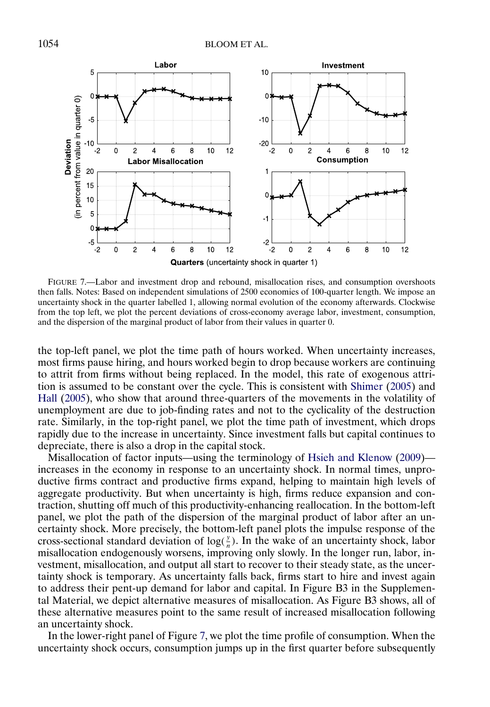<span id="page-23-0"></span>

FIGURE 7.—Labor and investment drop and rebound, misallocation rises, and consumption overshoots then falls. Notes: Based on independent simulations of 2500 economies of 100-quarter length. We impose an uncertainty shock in the quarter labelled 1, allowing normal evolution of the economy afterwards. Clockwise from the top left, we plot the percent deviations of cross-economy average labor, investment, consumption, and the dispersion of the marginal product of labor from their values in quarter 0.

the top-left panel, we plot the time path of hours worked. When uncertainty increases, most firms pause hiring, and hours worked begin to drop because workers are continuing to attrit from firms without being replaced. In the model, this rate of exogenous attrition is assumed to be constant over the cycle. This is consistent with [Shimer](#page-33-0) [\(2005\)](#page-33-0) and [Hall](#page-32-0) [\(2005\)](#page-32-0), who show that around three-quarters of the movements in the volatility of unemployment are due to job-finding rates and not to the cyclicality of the destruction rate. Similarly, in the top-right panel, we plot the time path of investment, which drops rapidly due to the increase in uncertainty. Since investment falls but capital continues to depreciate, there is also a drop in the capital stock.

Misallocation of factor inputs—using the terminology of [Hsieh and Klenow](#page-33-0) [\(2009\)](#page-33-0) increases in the economy in response to an uncertainty shock. In normal times, unproductive firms contract and productive firms expand, helping to maintain high levels of aggregate productivity. But when uncertainty is high, firms reduce expansion and contraction, shutting off much of this productivity-enhancing reallocation. In the bottom-left panel, we plot the path of the dispersion of the marginal product of labor after an uncertainty shock. More precisely, the bottom-left panel plots the impulse response of the cross-sectional standard deviation of  $log(\frac{y}{n})$ . In the wake of an uncertainty shock, labor misallocation endogenously worsens, improving only slowly. In the longer run, labor, investment, misallocation, and output all start to recover to their steady state, as the uncertainty shock is temporary. As uncertainty falls back, firms start to hire and invest again to address their pent-up demand for labor and capital. In Figure B3 in the Supplemental Material, we depict alternative measures of misallocation. As Figure B3 shows, all of these alternative measures point to the same result of increased misallocation following an uncertainty shock.

In the lower-right panel of Figure 7, we plot the time profile of consumption. When the uncertainty shock occurs, consumption jumps up in the first quarter before subsequently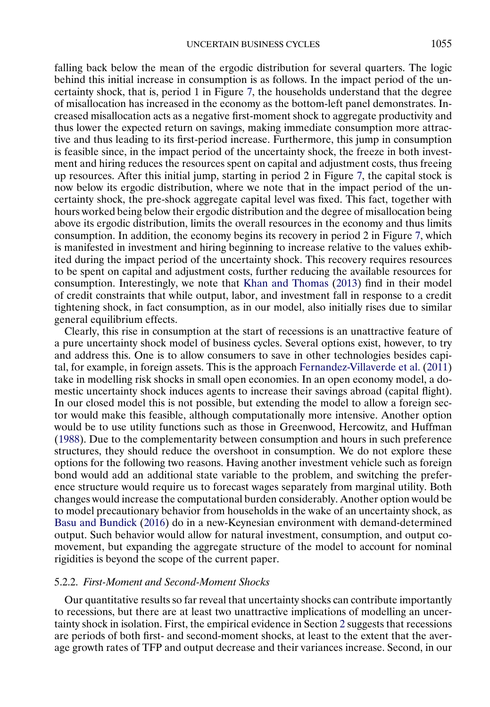<span id="page-24-0"></span>falling back below the mean of the ergodic distribution for several quarters. The logic behind this initial increase in consumption is as follows. In the impact period of the uncertainty shock, that is, period 1 in Figure [7,](#page-23-0) the households understand that the degree of misallocation has increased in the economy as the bottom-left panel demonstrates. Increased misallocation acts as a negative first-moment shock to aggregate productivity and thus lower the expected return on savings, making immediate consumption more attractive and thus leading to its first-period increase. Furthermore, this jump in consumption is feasible since, in the impact period of the uncertainty shock, the freeze in both investment and hiring reduces the resources spent on capital and adjustment costs, thus freeing up resources. After this initial jump, starting in period 2 in Figure [7,](#page-23-0) the capital stock is now below its ergodic distribution, where we note that in the impact period of the uncertainty shock, the pre-shock aggregate capital level was fixed. This fact, together with hours worked being below their ergodic distribution and the degree of misallocation being above its ergodic distribution, limits the overall resources in the economy and thus limits consumption. In addition, the economy begins its recovery in period 2 in Figure [7,](#page-23-0) which is manifested in investment and hiring beginning to increase relative to the values exhibited during the impact period of the uncertainty shock. This recovery requires resources to be spent on capital and adjustment costs, further reducing the available resources for consumption. Interestingly, we note that [Khan and Thomas](#page-33-0) [\(2013\)](#page-33-0) find in their model of credit constraints that while output, labor, and investment fall in response to a credit tightening shock, in fact consumption, as in our model, also initially rises due to similar general equilibrium effects.

Clearly, this rise in consumption at the start of recessions is an unattractive feature of a pure uncertainty shock model of business cycles. Several options exist, however, to try and address this. One is to allow consumers to save in other technologies besides capital, for example, in foreign assets. This is the approach [Fernandez-Villaverde et al.](#page-32-0) [\(2011\)](#page-32-0) take in modelling risk shocks in small open economies. In an open economy model, a domestic uncertainty shock induces agents to increase their savings abroad (capital flight). In our closed model this is not possible, but extending the model to allow a foreign sector would make this feasible, although computationally more intensive. Another option would be to use utility functions such as those in Greenwood, Hercowitz, and Huffman [\(1988\)](#page-32-0). Due to the complementarity between consumption and hours in such preference structures, they should reduce the overshoot in consumption. We do not explore these options for the following two reasons. Having another investment vehicle such as foreign bond would add an additional state variable to the problem, and switching the preference structure would require us to forecast wages separately from marginal utility. Both changes would increase the computational burden considerably. Another option would be to model precautionary behavior from households in the wake of an uncertainty shock, as [Basu and Bundick](#page-31-0) [\(2016\)](#page-31-0) do in a new-Keynesian environment with demand-determined output. Such behavior would allow for natural investment, consumption, and output comovement, but expanding the aggregate structure of the model to account for nominal rigidities is beyond the scope of the current paper.

### 5.2.2. *First-Moment and Second-Moment Shocks*

Our quantitative results so far reveal that uncertainty shocks can contribute importantly to recessions, but there are at least two unattractive implications of modelling an uncertainty shock in isolation. First, the empirical evidence in Section [2](#page-3-0) suggests that recessions are periods of both first- and second-moment shocks, at least to the extent that the average growth rates of TFP and output decrease and their variances increase. Second, in our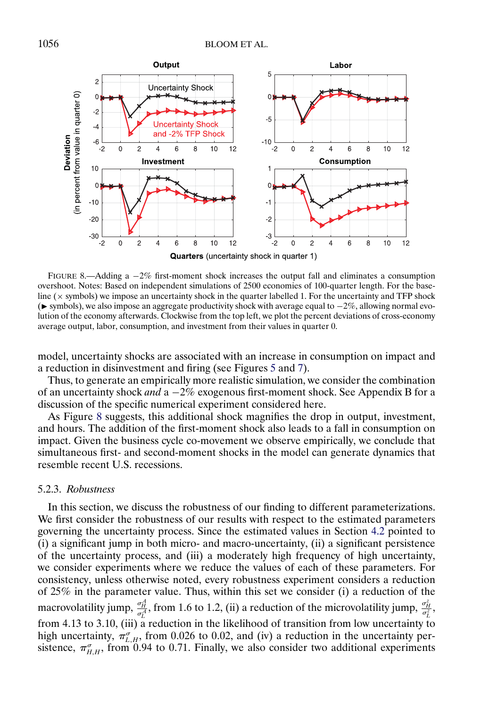<span id="page-25-0"></span>

FIGURE 8.—Adding a −2% first-moment shock increases the output fall and eliminates a consumption overshoot. Notes: Based on independent simulations of 2500 economies of 100-quarter length. For the baseline  $(x$  symbols) we impose an uncertainty shock in the quarter labelled 1. For the uncertainty and TFP shock (► symbols), we also impose an aggregate productivity shock with average equal to  $-2\%$ , allowing normal evolution of the economy afterwards. Clockwise from the top left, we plot the percent deviations of cross-economy average output, labor, consumption, and investment from their values in quarter 0.

model, uncertainty shocks are associated with an increase in consumption on impact and a reduction in disinvestment and firing (see Figures [5](#page-21-0) and [7\)](#page-23-0).

Thus, to generate an empirically more realistic simulation, we consider the combination of an uncertainty shock *and* a −2% exogenous first-moment shock. See Appendix B for a discussion of the specific numerical experiment considered here.

As Figure 8 suggests, this additional shock magnifies the drop in output, investment, and hours. The addition of the first-moment shock also leads to a fall in consumption on impact. Given the business cycle co-movement we observe empirically, we conclude that simultaneous first- and second-moment shocks in the model can generate dynamics that resemble recent U.S. recessions.

## 5.2.3. *Robustness*

In this section, we discuss the robustness of our finding to different parameterizations. We first consider the robustness of our results with respect to the estimated parameters governing the uncertainty process. Since the estimated values in Section [4.2](#page-18-0) pointed to (i) a significant jump in both micro- and macro-uncertainty, (ii) a significant persistence of the uncertainty process, and (iii) a moderately high frequency of high uncertainty, we consider experiments where we reduce the values of each of these parameters. For consistency, unless otherwise noted, every robustness experiment considers a reduction of 25% in the parameter value. Thus, within this set we consider (i) a reduction of the macrovolatility jump,  $\frac{\sigma_H^2}{\sigma_L^2}$ , from 1.6 to 1.2, (ii) a reduction of the microvolatility jump,  $\frac{\sigma_H^2}{\sigma_L^2}$ , from 4-13 to 3-10, (iii) a reduction in the likelihood of transition from low uncertainty to high uncertainty,  $\pi_{L,H}^{\sigma}$ , from 0.026 to 0.02, and (iv) a reduction in the uncertainty persistence,  $\pi_{H,H}^{\sigma}$ , from 0.94 to 0.71. Finally, we also consider two additional experiments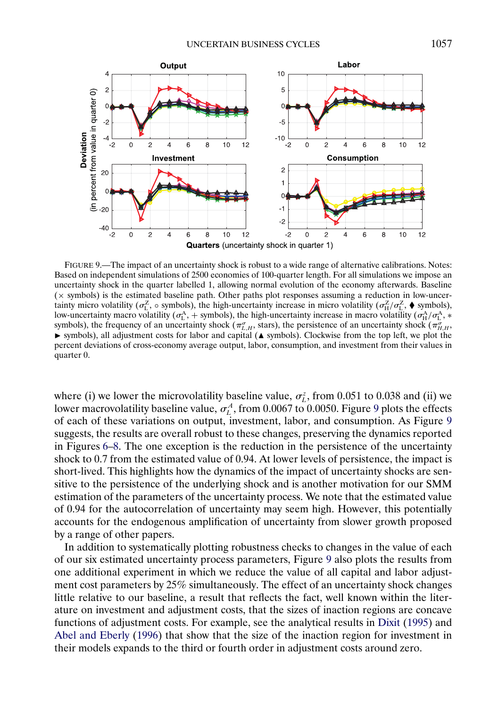<span id="page-26-0"></span>

FIGURE 9.—The impact of an uncertainty shock is robust to a wide range of alternative calibrations. Notes: Based on independent simulations of 2500 economies of 100-quarter length. For all simulations we impose an uncertainty shock in the quarter labelled 1, allowing normal evolution of the economy afterwards. Baseline (× symbols) is the estimated baseline path. Other paths plot responses assuming a reduction in low-uncertainty micro volatility ( $\sigma_L^Z$ ,  $\circ$  symbols), the high-uncertainty increase in micro volatility ( $\sigma_H^Z/\sigma_L^Z$ ,  $\bullet$  symbols), low-uncertainty macro volatility ( $\sigma_L^A$ , + symbols), the high-uncertainty increase in macro volatility ( $\sigma_H^A/\sigma_L^A$ , \* symbols), the frequency of an uncertainty shock ( $\pi_{L,H}^{\sigma}$ , stars), the persistence of an uncertainty shock ( $\pi_{H,H}^{\sigma}$ , ► symbols), all adjustment costs for labor and capital (▲ symbols). Clockwise from the top left, we plot the percent deviations of cross-economy average output, labor, consumption, and investment from their values in quarter 0.

where (i) we lower the microvolatility baseline value,  $\sigma_L^z$ , from 0.051 to 0.038 and (ii) we lower macrovolatility baseline value,  $\sigma_L^A$ , from 0.0067 to 0.0050. Figure 9 plots the effects of each of these variations on output, investment, labor, and consumption. As Figure 9 suggests, the results are overall robust to these changes, preserving the dynamics reported in Figures [6](#page-22-0)[–8.](#page-25-0) The one exception is the reduction in the persistence of the uncertainty shock to 0.7 from the estimated value of 0.94. At lower levels of persistence, the impact is short-lived. This highlights how the dynamics of the impact of uncertainty shocks are sensitive to the persistence of the underlying shock and is another motivation for our SMM estimation of the parameters of the uncertainty process. We note that the estimated value of 0.94 for the autocorrelation of uncertainty may seem high. However, this potentially accounts for the endogenous amplification of uncertainty from slower growth proposed by a range of other papers.

In addition to systematically plotting robustness checks to changes in the value of each of our six estimated uncertainty process parameters, Figure 9 also plots the results from one additional experiment in which we reduce the value of all capital and labor adjustment cost parameters by 25% simultaneously. The effect of an uncertainty shock changes little relative to our baseline, a result that reflects the fact, well known within the literature on investment and adjustment costs, that the sizes of inaction regions are concave functions of adjustment costs. For example, see the analytical results in [Dixit](#page-32-0) [\(1995\)](#page-32-0) and [Abel and Eberly](#page-31-0) [\(1996\)](#page-31-0) that show that the size of the inaction region for investment in their models expands to the third or fourth order in adjustment costs around zero.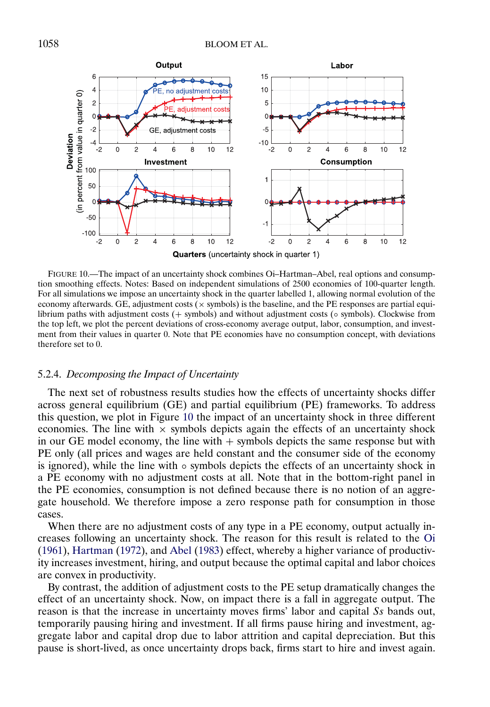<span id="page-27-0"></span>

FIGURE 10.—The impact of an uncertainty shock combines Oi–Hartman–Abel, real options and consumption smoothing effects. Notes: Based on independent simulations of 2500 economies of 100-quarter length. For all simulations we impose an uncertainty shock in the quarter labelled 1, allowing normal evolution of the economy afterwards. GE, adjustment costs ( $\times$  symbols) is the baseline, and the PE responses are partial equilibrium paths with adjustment costs (+ symbols) and without adjustment costs (◦ symbols). Clockwise from the top left, we plot the percent deviations of cross-economy average output, labor, consumption, and investment from their values in quarter 0. Note that PE economies have no consumption concept, with deviations therefore set to 0.

# 5.2.4. *Decomposing the Impact of Uncertainty*

The next set of robustness results studies how the effects of uncertainty shocks differ across general equilibrium (GE) and partial equilibrium (PE) frameworks. To address this question, we plot in Figure 10 the impact of an uncertainty shock in three different economies. The line with  $\times$  symbols depicts again the effects of an uncertainty shock in our GE model economy, the line with  $+$  symbols depicts the same response but with PE only (all prices and wages are held constant and the consumer side of the economy is ignored), while the line with ◦ symbols depicts the effects of an uncertainty shock in a PE economy with no adjustment costs at all. Note that in the bottom-right panel in the PE economies, consumption is not defined because there is no notion of an aggregate household. We therefore impose a zero response path for consumption in those cases.

When there are no adjustment costs of any type in a PE economy, output actually increases following an uncertainty shock. The reason for this result is related to the [Oi](#page-33-0) [\(1961\)](#page-33-0), [Hartman](#page-32-0) [\(1972\)](#page-32-0), and [Abel](#page-31-0) [\(1983\)](#page-31-0) effect, whereby a higher variance of productivity increases investment, hiring, and output because the optimal capital and labor choices are convex in productivity.

By contrast, the addition of adjustment costs to the PE setup dramatically changes the effect of an uncertainty shock. Now, on impact there is a fall in aggregate output. The reason is that the increase in uncertainty moves firms' labor and capital Ss bands out, temporarily pausing hiring and investment. If all firms pause hiring and investment, aggregate labor and capital drop due to labor attrition and capital depreciation. But this pause is short-lived, as once uncertainty drops back, firms start to hire and invest again.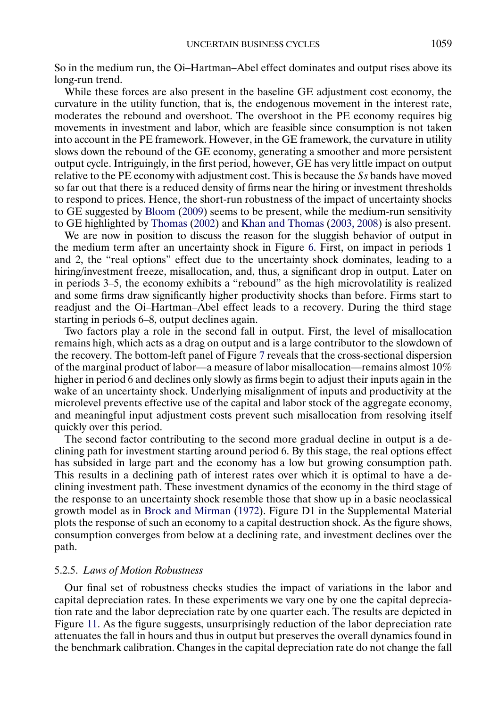<span id="page-28-0"></span>So in the medium run, the Oi–Hartman–Abel effect dominates and output rises above its long-run trend.

While these forces are also present in the baseline GE adjustment cost economy, the curvature in the utility function, that is, the endogenous movement in the interest rate, moderates the rebound and overshoot. The overshoot in the PE economy requires big movements in investment and labor, which are feasible since consumption is not taken into account in the PE framework. However, in the GE framework, the curvature in utility slows down the rebound of the GE economy, generating a smoother and more persistent output cycle. Intriguingly, in the first period, however, GE has very little impact on output relative to the PE economy with adjustment cost. This is because the Ss bands have moved so far out that there is a reduced density of firms near the hiring or investment thresholds to respond to prices. Hence, the short-run robustness of the impact of uncertainty shocks to GE suggested by [Bloom](#page-31-0) [\(2009\)](#page-31-0) seems to be present, while the medium-run sensitivity to GE highlighted by [Thomas](#page-33-0) [\(2002\)](#page-33-0) and [Khan and Thomas](#page-33-0) [\(2003, 2008\)](#page-33-0) is also present.

We are now in position to discuss the reason for the sluggish behavior of output in the medium term after an uncertainty shock in Figure [6.](#page-22-0) First, on impact in periods 1 and 2, the "real options" effect due to the uncertainty shock dominates, leading to a hiring/investment freeze, misallocation, and, thus, a significant drop in output. Later on in periods 3–5, the economy exhibits a "rebound" as the high microvolatility is realized and some firms draw significantly higher productivity shocks than before. Firms start to readjust and the Oi–Hartman–Abel effect leads to a recovery. During the third stage starting in periods 6–8, output declines again.

Two factors play a role in the second fall in output. First, the level of misallocation remains high, which acts as a drag on output and is a large contributor to the slowdown of the recovery. The bottom-left panel of Figure [7](#page-23-0) reveals that the cross-sectional dispersion of the marginal product of labor—a measure of labor misallocation—remains almost 10% higher in period 6 and declines only slowly as firms begin to adjust their inputs again in the wake of an uncertainty shock. Underlying misalignment of inputs and productivity at the microlevel prevents effective use of the capital and labor stock of the aggregate economy, and meaningful input adjustment costs prevent such misallocation from resolving itself quickly over this period.

The second factor contributing to the second more gradual decline in output is a declining path for investment starting around period 6. By this stage, the real options effect has subsided in large part and the economy has a low but growing consumption path. This results in a declining path of interest rates over which it is optimal to have a declining investment path. These investment dynamics of the economy in the third stage of the response to an uncertainty shock resemble those that show up in a basic neoclassical growth model as in [Brock and Mirman](#page-31-0) [\(1972\)](#page-31-0). Figure D1 in the Supplemental Material plots the response of such an economy to a capital destruction shock. As the figure shows, consumption converges from below at a declining rate, and investment declines over the path.

### 5.2.5. *Laws of Motion Robustness*

Our final set of robustness checks studies the impact of variations in the labor and capital depreciation rates. In these experiments we vary one by one the capital depreciation rate and the labor depreciation rate by one quarter each. The results are depicted in Figure [11.](#page-29-0) As the figure suggests, unsurprisingly reduction of the labor depreciation rate attenuates the fall in hours and thus in output but preserves the overall dynamics found in the benchmark calibration. Changes in the capital depreciation rate do not change the fall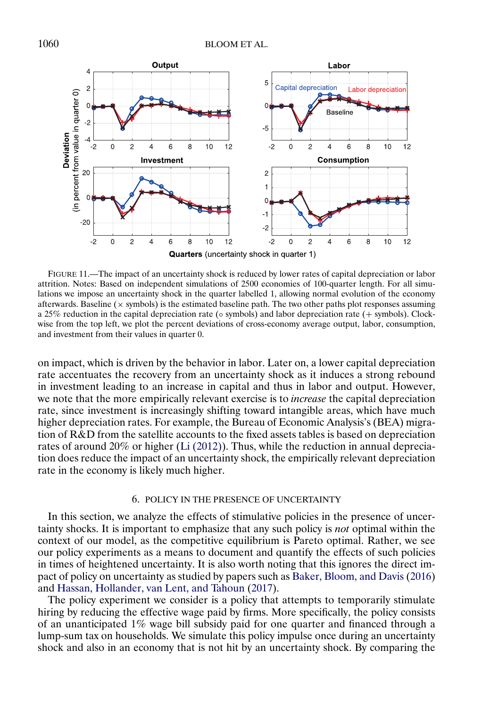<span id="page-29-0"></span>

FIGURE 11.—The impact of an uncertainty shock is reduced by lower rates of capital depreciation or labor attrition. Notes: Based on independent simulations of 2500 economies of 100-quarter length. For all simulations we impose an uncertainty shock in the quarter labelled 1, allowing normal evolution of the economy afterwards. Baseline  $(x)$  symbols) is the estimated baseline path. The two other paths plot responses assuming a 25% reduction in the capital depreciation rate (◦ symbols) and labor depreciation rate (+ symbols). Clockwise from the top left, we plot the percent deviations of cross-economy average output, labor, consumption, and investment from their values in quarter 0.

on impact, which is driven by the behavior in labor. Later on, a lower capital depreciation rate accentuates the recovery from an uncertainty shock as it induces a strong rebound in investment leading to an increase in capital and thus in labor and output. However, we note that the more empirically relevant exercise is to *increase* the capital depreciation rate, since investment is increasingly shifting toward intangible areas, which have much higher depreciation rates. For example, the Bureau of Economic Analysis's (BEA) migration of R&D from the satellite accounts to the fixed assets tables is based on depreciation rates of around 20% or higher [\(Li \(2012\)\)](#page-33-0). Thus, while the reduction in annual depreciation does reduce the impact of an uncertainty shock, the empirically relevant depreciation rate in the economy is likely much higher.

# 6. POLICY IN THE PRESENCE OF UNCERTAINTY

In this section, we analyze the effects of stimulative policies in the presence of uncertainty shocks. It is important to emphasize that any such policy is *not* optimal within the context of our model, as the competitive equilibrium is Pareto optimal. Rather, we see our policy experiments as a means to document and quantify the effects of such policies in times of heightened uncertainty. It is also worth noting that this ignores the direct impact of policy on uncertainty as studied by papers such as [Baker, Bloom, and Davis](#page-31-0) [\(2016\)](#page-31-0) and [Hassan, Hollander, van Lent, and Tahoun](#page-32-0) [\(2017\)](#page-32-0).

The policy experiment we consider is a policy that attempts to temporarily stimulate hiring by reducing the effective wage paid by firms. More specifically, the policy consists of an unanticipated 1% wage bill subsidy paid for one quarter and financed through a lump-sum tax on households. We simulate this policy impulse once during an uncertainty shock and also in an economy that is not hit by an uncertainty shock. By comparing the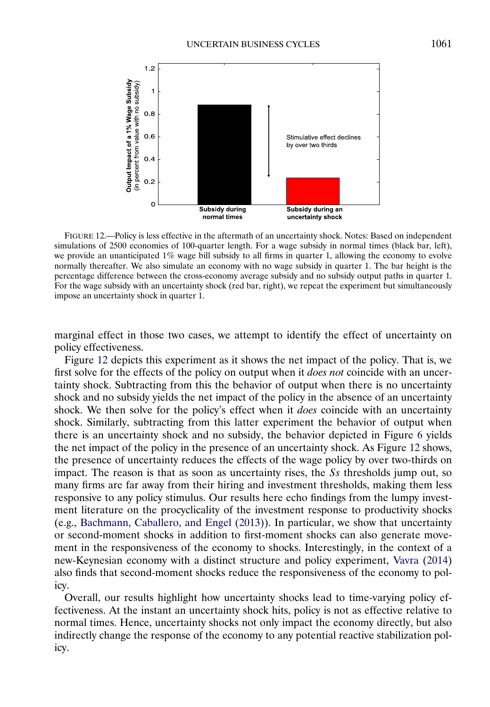<span id="page-30-0"></span>

FIGURE 12.—Policy is less effective in the aftermath of an uncertainty shock. Notes: Based on independent simulations of 2500 economies of 100-quarter length. For a wage subsidy in normal times (black bar, left), we provide an unanticipated 1% wage bill subsidy to all firms in quarter 1, allowing the economy to evolve normally thereafter. We also simulate an economy with no wage subsidy in quarter 1. The bar height is the percentage difference between the cross-economy average subsidy and no subsidy output paths in quarter 1. For the wage subsidy with an uncertainty shock (red bar, right), we repeat the experiment but simultaneously impose an uncertainty shock in quarter 1.

marginal effect in those two cases, we attempt to identify the effect of uncertainty on policy effectiveness.

Figure 12 depicts this experiment as it shows the net impact of the policy. That is, we first solve for the effects of the policy on output when it *does not* coincide with an uncertainty shock. Subtracting from this the behavior of output when there is no uncertainty shock and no subsidy yields the net impact of the policy in the absence of an uncertainty shock. We then solve for the policy's effect when it *does* coincide with an uncertainty shock. Similarly, subtracting from this latter experiment the behavior of output when there is an uncertainty shock and no subsidy, the behavior depicted in Figure [6](#page-22-0) yields the net impact of the policy in the presence of an uncertainty shock. As Figure 12 shows, the presence of uncertainty reduces the effects of the wage policy by over two-thirds on impact. The reason is that as soon as uncertainty rises, the Ss thresholds jump out, so many firms are far away from their hiring and investment thresholds, making them less responsive to any policy stimulus. Our results here echo findings from the lumpy investment literature on the procyclicality of the investment response to productivity shocks (e.g., [Bachmann, Caballero, and Engel \(2013\)\)](#page-31-0). In particular, we show that uncertainty or second-moment shocks in addition to first-moment shocks can also generate movement in the responsiveness of the economy to shocks. Interestingly, in the context of a new-Keynesian economy with a distinct structure and policy experiment, [Vavra](#page-33-0) [\(2014\)](#page-33-0) also finds that second-moment shocks reduce the responsiveness of the economy to policy.

Overall, our results highlight how uncertainty shocks lead to time-varying policy effectiveness. At the instant an uncertainty shock hits, policy is not as effective relative to normal times. Hence, uncertainty shocks not only impact the economy directly, but also indirectly change the response of the economy to any potential reactive stabilization policy.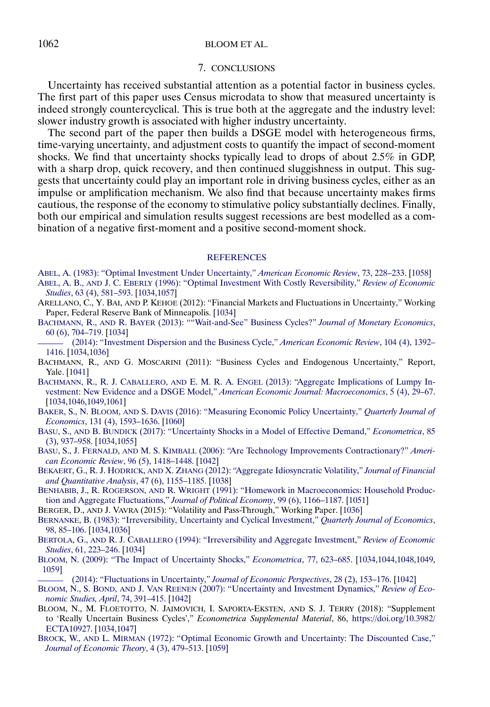# <span id="page-31-0"></span>1062 BLOOM ET AL.

#### 7. CONCLUSIONS

Uncertainty has received substantial attention as a potential factor in business cycles. The first part of this paper uses Census microdata to show that measured uncertainty is indeed strongly countercyclical. This is true both at the aggregate and the industry level: slower industry growth is associated with higher industry uncertainty.

The second part of the paper then builds a DSGE model with heterogeneous firms, time-varying uncertainty, and adjustment costs to quantify the impact of second-moment shocks. We find that uncertainty shocks typically lead to drops of about 2.5% in GDP, with a sharp drop, quick recovery, and then continued sluggishness in output. This suggests that uncertainty could play an important role in driving business cycles, either as an impulse or amplification mechanism. We also find that because uncertainty makes firms cautious, the response of the economy to stimulative policy substantially declines. Finally, both our empirical and simulation results suggest recessions are best modelled as a combination of a negative first-moment and a positive second-moment shock.

#### **[REFERENCES](http://www.e-publications.org/srv/ecta/linkserver/setprefs?rfe_id=urn:sici%2F0012-9682%28201805%2986%3A3%3C1031%3ARUBC%3E2.0.CO%3B2-6)**

- [ABEL, A. \(1983\): "Optimal Investment Under Uncertainty,"](http://www.e-publications.org/srv/ecta/linkserver/openurl?rft_dat=bib:1/1&rfe_id=urn:sici%2F0012-9682%28201805%2986%3A3%3C1031%3ARUBC%3E2.0.CO%3B2-6) *American Economic Review*, 73, 228–233. [\[1058\]](#page-27-0) ABEL, A. B., AND J. C. EBERLY [\(1996\): "Optimal Investment With Costly Reversibility,"](http://www.e-publications.org/srv/ecta/linkserver/openurl?rft_dat=bib:2/2&rfe_id=urn:sici%2F0012-9682%28201805%2986%3A3%3C1031%3ARUBC%3E2.0.CO%3B2-6) *Review of Economic Studies*[, 63 \(4\), 581–593.](http://www.e-publications.org/srv/ecta/linkserver/openurl?rft_dat=bib:2/2&rfe_id=urn:sici%2F0012-9682%28201805%2986%3A3%3C1031%3ARUBC%3E2.0.CO%3B2-6) [\[1034,](#page-3-0)[1057\]](#page-26-0)
- ARELLANO, C., Y. BAI, AND P. KEHOE (2012): "Financial Markets and Fluctuations in Uncertainty," Working Paper, Federal Reserve Bank of Minneapolis. [\[1034\]](#page-3-0)
- BACHMANN, R., AND R. BAYER [\(2013\): ""Wait-and-See" Business Cycles?"](http://www.e-publications.org/srv/ecta/linkserver/openurl?rft_dat=bib:4/6&rfe_id=urn:sici%2F0012-9682%28201805%2986%3A3%3C1031%3ARUBC%3E2.0.CO%3B2-6) *Journal of Monetary Economics*, [60 \(6\), 704–719.](http://www.e-publications.org/srv/ecta/linkserver/openurl?rft_dat=bib:4/6&rfe_id=urn:sici%2F0012-9682%28201805%2986%3A3%3C1031%3ARUBC%3E2.0.CO%3B2-6) [\[1034\]](#page-3-0)
- [\(2014\): "Investment Dispersion and the Business Cycle,"](http://www.e-publications.org/srv/ecta/linkserver/openurl?rft_dat=bib:5/7&rfe_id=urn:sici%2F0012-9682%28201805%2986%3A3%3C1031%3ARUBC%3E2.0.CO%3B2-6) *American Economic Review*, 104 (4), 1392– [1416.](http://www.e-publications.org/srv/ecta/linkserver/openurl?rft_dat=bib:5/7&rfe_id=urn:sici%2F0012-9682%28201805%2986%3A3%3C1031%3ARUBC%3E2.0.CO%3B2-6) [\[1034](#page-3-0)[,1036\]](#page-5-0)
- BACHMANN, R., AND G. MOSCARINI (2011): "Business Cycles and Endogenous Uncertainty," Report, Yale. [\[1041\]](#page-10-0)
- BACHMANN, R., R. J. CABALLERO, AND E. M. R. A. ENGEL [\(2013\): "Aggregate Implications of Lumpy In](http://www.e-publications.org/srv/ecta/linkserver/openurl?rft_dat=bib:7/8&rfe_id=urn:sici%2F0012-9682%28201805%2986%3A3%3C1031%3ARUBC%3E2.0.CO%3B2-6)[vestment: New Evidence and a DSGE Model,"](http://www.e-publications.org/srv/ecta/linkserver/openurl?rft_dat=bib:7/8&rfe_id=urn:sici%2F0012-9682%28201805%2986%3A3%3C1031%3ARUBC%3E2.0.CO%3B2-6) *American Economic Journal: Macroeconomics*, 5 (4), 29–67. [\[1034](#page-3-0)[,1046](#page-15-0)[,1049](#page-18-0)[,1061\]](#page-30-0)
- BAKER, S., N. BLOOM, AND S. DAVIS [\(2016\): "Measuring Economic Policy Uncertainty,"](http://www.e-publications.org/srv/ecta/linkserver/openurl?rft_dat=bib:8/10&rfe_id=urn:sici%2F0012-9682%28201805%2986%3A3%3C1031%3ARUBC%3E2.0.CO%3B2-6) *Quarterly Journal of Economics*[, 131 \(4\), 1593–1636.](http://www.e-publications.org/srv/ecta/linkserver/openurl?rft_dat=bib:8/10&rfe_id=urn:sici%2F0012-9682%28201805%2986%3A3%3C1031%3ARUBC%3E2.0.CO%3B2-6) [\[1060\]](#page-29-0)
- BASU, S., AND B. BUNDICK [\(2017\): "Uncertainty Shocks in a Model of Effective Demand,"](http://www.e-publications.org/srv/ecta/linkserver/openurl?rft_dat=bib:9/13&rfe_id=urn:sici%2F0012-9682%28201805%2986%3A3%3C1031%3ARUBC%3E2.0.CO%3B2-6) *Econometrica*, 85 [\(3\), 937–958.](http://www.e-publications.org/srv/ecta/linkserver/openurl?rft_dat=bib:9/13&rfe_id=urn:sici%2F0012-9682%28201805%2986%3A3%3C1031%3ARUBC%3E2.0.CO%3B2-6) [\[1034](#page-3-0)[,1055\]](#page-24-0)
- BASU, S., J. FERNALD, AND M. S. KIMBALL [\(2006\): "Are Technology Improvements Contractionary?"](http://www.e-publications.org/srv/ecta/linkserver/openurl?rft_dat=bib:10/14&rfe_id=urn:sici%2F0012-9682%28201805%2986%3A3%3C1031%3ARUBC%3E2.0.CO%3B2-6) *Ameri[can Economic Review](http://www.e-publications.org/srv/ecta/linkserver/openurl?rft_dat=bib:10/14&rfe_id=urn:sici%2F0012-9682%28201805%2986%3A3%3C1031%3ARUBC%3E2.0.CO%3B2-6)*, 96 (5), 1418–1448. [\[1042\]](#page-11-0)
- BEKAERT, G., R. J. HODRICK, AND X. ZHANG [\(2012\): "Aggregate Idiosyncratic Volatility,"](http://www.e-publications.org/srv/ecta/linkserver/openurl?rft_dat=bib:11/15&rfe_id=urn:sici%2F0012-9682%28201805%2986%3A3%3C1031%3ARUBC%3E2.0.CO%3B2-6) *Journal of Financial [and Quantitative Analysis](http://www.e-publications.org/srv/ecta/linkserver/openurl?rft_dat=bib:11/15&rfe_id=urn:sici%2F0012-9682%28201805%2986%3A3%3C1031%3ARUBC%3E2.0.CO%3B2-6)*, 47 (6), 1155–1185. [\[1038\]](#page-7-0)
- BENHABIB, J., R. ROGERSON, AND R. WRIGHT [\(1991\): "Homework in Macroeconomics: Household Produc](http://www.e-publications.org/srv/ecta/linkserver/openurl?rft_dat=bib:12/16&rfe_id=urn:sici%2F0012-9682%28201805%2986%3A3%3C1031%3ARUBC%3E2.0.CO%3B2-6)[tion and Aggregate Fluctuations,"](http://www.e-publications.org/srv/ecta/linkserver/openurl?rft_dat=bib:12/16&rfe_id=urn:sici%2F0012-9682%28201805%2986%3A3%3C1031%3ARUBC%3E2.0.CO%3B2-6) *Journal of Political Economy*, 99 (6), 1166–1187. [\[1051\]](#page-20-0)
- BERGER, D., AND J. VAVRA (2015): "Volatility and Pass-Through," Working Paper. [\[1036\]](#page-5-0)
- [BERNANKE, B. \(1983\): "Irreversibility, Uncertainty and Cyclical Investment,"](http://www.e-publications.org/srv/ecta/linkserver/openurl?rft_dat=bib:14/18&rfe_id=urn:sici%2F0012-9682%28201805%2986%3A3%3C1031%3ARUBC%3E2.0.CO%3B2-6) *Quarterly Journal of Economics*, [98, 85–106.](http://www.e-publications.org/srv/ecta/linkserver/openurl?rft_dat=bib:14/18&rfe_id=urn:sici%2F0012-9682%28201805%2986%3A3%3C1031%3ARUBC%3E2.0.CO%3B2-6) [\[1034](#page-3-0)[,1036\]](#page-5-0)
- BERTOLA, G., AND R. J. CABALLERO [\(1994\): "Irreversibility and Aggregate Investment,"](http://www.e-publications.org/srv/ecta/linkserver/openurl?rft_dat=bib:15/19&rfe_id=urn:sici%2F0012-9682%28201805%2986%3A3%3C1031%3ARUBC%3E2.0.CO%3B2-6) *Review of Economic Studies*[, 61, 223–246.](http://www.e-publications.org/srv/ecta/linkserver/openurl?rft_dat=bib:15/19&rfe_id=urn:sici%2F0012-9682%28201805%2986%3A3%3C1031%3ARUBC%3E2.0.CO%3B2-6) [\[1034\]](#page-3-0)
- [BLOOM, N. \(2009\): "The Impact of Uncertainty Shocks,"](http://www.e-publications.org/srv/ecta/linkserver/openurl?rft_dat=bib:16/21&rfe_id=urn:sici%2F0012-9682%28201805%2986%3A3%3C1031%3ARUBC%3E2.0.CO%3B2-6) *Econometrica*, 77, 623–685. [\[1034,](#page-3-0)[1044,](#page-13-0)[1048,](#page-17-0)[1049,](#page-18-0) [1059\]](#page-28-0)
- [\(2014\): "Fluctuations in Uncertainty,"](http://www.e-publications.org/srv/ecta/linkserver/openurl?rft_dat=bib:17/22&rfe_id=urn:sici%2F0012-9682%28201805%2986%3A3%3C1031%3ARUBC%3E2.0.CO%3B2-6) *Journal of Economic Perspectives*, 28 (2), 153–176. [\[1042\]](#page-11-0)
- BLOOM, N., S. BOND, AND J. VAN REENEN [\(2007\): "Uncertainty and Investment Dynamics,"](http://www.e-publications.org/srv/ecta/linkserver/openurl?rft_dat=bib:18/23&rfe_id=urn:sici%2F0012-9682%28201805%2986%3A3%3C1031%3ARUBC%3E2.0.CO%3B2-6) *Review of Eco[nomic Studies, April](http://www.e-publications.org/srv/ecta/linkserver/openurl?rft_dat=bib:18/23&rfe_id=urn:sici%2F0012-9682%28201805%2986%3A3%3C1031%3ARUBC%3E2.0.CO%3B2-6)*, 74, 391–415. [\[1042\]](#page-11-0)
- BLOOM, N., M. FLOETOTTO, N. JAIMOVICH, I. SAPORTA-EKSTEN, AND S. J. TERRY (2018): "Supplement to 'Really Uncertain Business Cycles'," *Econometrica Supplemental Material*, 86, [https://doi.org/10.3982/](https://doi.org/10.3982/ECTA10927) [ECTA10927.](https://doi.org/10.3982/ECTA10927) [\[1034,](#page-3-0)[1047\]](#page-16-0)
- BROCK, W., AND L. MIRMAN [\(1972\): "Optimal Economic Growth and Uncertainty: The Discounted Case,"](http://www.e-publications.org/srv/ecta/linkserver/openurl?rft_dat=bib:20/26&rfe_id=urn:sici%2F0012-9682%28201805%2986%3A3%3C1031%3ARUBC%3E2.0.CO%3B2-6) *[Journal of Economic Theory](http://www.e-publications.org/srv/ecta/linkserver/openurl?rft_dat=bib:20/26&rfe_id=urn:sici%2F0012-9682%28201805%2986%3A3%3C1031%3ARUBC%3E2.0.CO%3B2-6)*, 4 (3), 479–513. [\[1059\]](#page-28-0)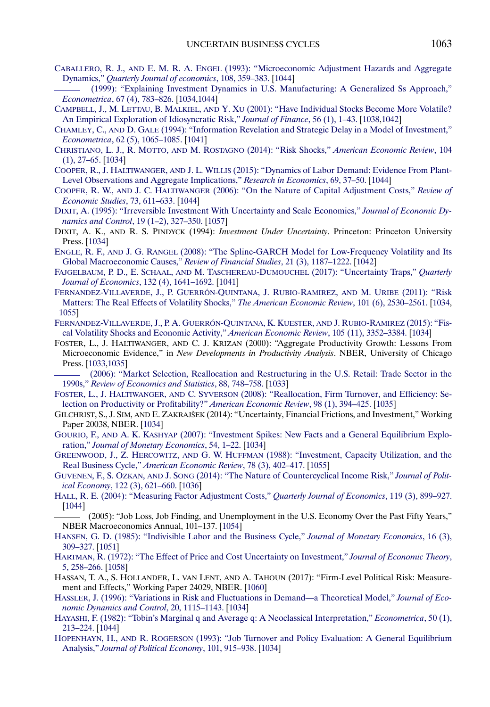- <span id="page-32-0"></span>CABALLERO, R. J., AND E. M. R. A. ENGEL [\(1993\): "Microeconomic Adjustment Hazards and Aggregate](http://www.e-publications.org/srv/ecta/linkserver/openurl?rft_dat=bib:21/27&rfe_id=urn:sici%2F0012-9682%28201805%2986%3A3%3C1031%3ARUBC%3E2.0.CO%3B2-6) Dynamics," *[Quarterly Journal of economics](http://www.e-publications.org/srv/ecta/linkserver/openurl?rft_dat=bib:21/27&rfe_id=urn:sici%2F0012-9682%28201805%2986%3A3%3C1031%3ARUBC%3E2.0.CO%3B2-6)*, 108, 359–383. [\[1044\]](#page-13-0)
- [\(1999\): "Explaining Investment Dynamics in U.S. Manufacturing: A Generalized Ss Approach,"](http://www.e-publications.org/srv/ecta/linkserver/openurl?rft_dat=bib:22/28&rfe_id=urn:sici%2F0012-9682%28201805%2986%3A3%3C1031%3ARUBC%3E2.0.CO%3B2-6) *Econometrica*[, 67 \(4\), 783–826.](http://www.e-publications.org/srv/ecta/linkserver/openurl?rft_dat=bib:22/28&rfe_id=urn:sici%2F0012-9682%28201805%2986%3A3%3C1031%3ARUBC%3E2.0.CO%3B2-6) [\[1034](#page-3-0)[,1044\]](#page-13-0)
- CAMPBELL, J., M. LETTAU, B. MALKIEL, AND Y. XU [\(2001\): "Have Individual Stocks Become More Volatile?](http://www.e-publications.org/srv/ecta/linkserver/openurl?rft_dat=bib:23/29&rfe_id=urn:sici%2F0012-9682%28201805%2986%3A3%3C1031%3ARUBC%3E2.0.CO%3B2-6) [An Empirical Exploration of Idiosyncratic Risk,"](http://www.e-publications.org/srv/ecta/linkserver/openurl?rft_dat=bib:23/29&rfe_id=urn:sici%2F0012-9682%28201805%2986%3A3%3C1031%3ARUBC%3E2.0.CO%3B2-6) *Journal of Finance*, 56 (1), 1–43. [\[1038,](#page-7-0)[1042\]](#page-11-0)
- CHAMLEY, C., AND D. GALE [\(1994\): "Information Revelation and Strategic Delay in a Model of Investment,"](http://www.e-publications.org/srv/ecta/linkserver/openurl?rft_dat=bib:24/30&rfe_id=urn:sici%2F0012-9682%28201805%2986%3A3%3C1031%3ARUBC%3E2.0.CO%3B2-6) *Econometrica*[, 62 \(5\), 1065–1085.](http://www.e-publications.org/srv/ecta/linkserver/openurl?rft_dat=bib:24/30&rfe_id=urn:sici%2F0012-9682%28201805%2986%3A3%3C1031%3ARUBC%3E2.0.CO%3B2-6) [\[1041\]](#page-10-0)
- [CHRISTIANO, L. J., R. MOTTO,](http://www.e-publications.org/srv/ecta/linkserver/openurl?rft_dat=bib:25/31&rfe_id=urn:sici%2F0012-9682%28201805%2986%3A3%3C1031%3ARUBC%3E2.0.CO%3B2-6) AND M. ROSTAGNO (2014): "Risk Shocks," *American Economic Review*, 104 [\(1\), 27–65.](http://www.e-publications.org/srv/ecta/linkserver/openurl?rft_dat=bib:25/31&rfe_id=urn:sici%2F0012-9682%28201805%2986%3A3%3C1031%3ARUBC%3E2.0.CO%3B2-6) [\[1034\]](#page-3-0)
- COOPER, R., J. HALTIWANGER, AND J. L. WILLIS [\(2015\): "Dynamics of Labor Demand: Evidence From Plant-](http://www.e-publications.org/srv/ecta/linkserver/openurl?rft_dat=bib:26/34&rfe_id=urn:sici%2F0012-9682%28201805%2986%3A3%3C1031%3ARUBC%3E2.0.CO%3B2-6)[Level Observations and Aggregate Implications,"](http://www.e-publications.org/srv/ecta/linkserver/openurl?rft_dat=bib:26/34&rfe_id=urn:sici%2F0012-9682%28201805%2986%3A3%3C1031%3ARUBC%3E2.0.CO%3B2-6) *Research in Economics*, 69, 37–50. [\[1044\]](#page-13-0)
- COOPER, R. W., AND J. C. HALTIWANGER [\(2006\): "On the Nature of Capital Adjustment Costs,"](http://www.e-publications.org/srv/ecta/linkserver/openurl?rft_dat=bib:27/33&rfe_id=urn:sici%2F0012-9682%28201805%2986%3A3%3C1031%3ARUBC%3E2.0.CO%3B2-6) *Review of [Economic Studies](http://www.e-publications.org/srv/ecta/linkserver/openurl?rft_dat=bib:27/33&rfe_id=urn:sici%2F0012-9682%28201805%2986%3A3%3C1031%3ARUBC%3E2.0.CO%3B2-6)*, 73, 611–633. [\[1044\]](#page-13-0)
- [DIXIT, A. \(1995\): "Irreversible Investment With Uncertainty and Scale Economies,"](http://www.e-publications.org/srv/ecta/linkserver/openurl?rft_dat=bib:28/37&rfe_id=urn:sici%2F0012-9682%28201805%2986%3A3%3C1031%3ARUBC%3E2.0.CO%3B2-6) *Journal of Economic Dy[namics and Control](http://www.e-publications.org/srv/ecta/linkserver/openurl?rft_dat=bib:28/37&rfe_id=urn:sici%2F0012-9682%28201805%2986%3A3%3C1031%3ARUBC%3E2.0.CO%3B2-6)*, 19 (1–2), 327–350. [\[1057\]](#page-26-0)
- DIXIT, A. K., AND R. S. PINDYCK (1994): *Investment Under Uncertainty*. Princeton: Princeton University Press. [\[1034\]](#page-3-0)
- ENGLE, R. F., AND J. G. RANGEL [\(2008\): "The Spline-GARCH Model for Low-Frequency Volatility and Its](http://www.e-publications.org/srv/ecta/linkserver/openurl?rft_dat=bib:30/39&rfe_id=urn:sici%2F0012-9682%28201805%2986%3A3%3C1031%3ARUBC%3E2.0.CO%3B2-6) [Global Macroeconomic Causes,"](http://www.e-publications.org/srv/ecta/linkserver/openurl?rft_dat=bib:30/39&rfe_id=urn:sici%2F0012-9682%28201805%2986%3A3%3C1031%3ARUBC%3E2.0.CO%3B2-6) *Review of Financial Studies*, 21 (3), 1187–1222. [\[1042\]](#page-11-0)
- [FAJGELBAUM, P. D., E. SCHAAL,](http://www.e-publications.org/srv/ecta/linkserver/openurl?rft_dat=bib:31/40&rfe_id=urn:sici%2F0012-9682%28201805%2986%3A3%3C1031%3ARUBC%3E2.0.CO%3B2-6) AND M. TASCHEREAU-DUMOUCHEL (2017): "Uncertainty Traps," *Quarterly [Journal of Economics](http://www.e-publications.org/srv/ecta/linkserver/openurl?rft_dat=bib:31/40&rfe_id=urn:sici%2F0012-9682%28201805%2986%3A3%3C1031%3ARUBC%3E2.0.CO%3B2-6)*, 132 (4), 1641–1692. [\[1041\]](#page-10-0)
- [FERNANDEZ-VILLAVERDE, J., P. GUERRÓN-QUINTANA, J. RUBIO-RAMIREZ,](http://www.e-publications.org/srv/ecta/linkserver/openurl?rft_dat=bib:32/42&rfe_id=urn:sici%2F0012-9682%28201805%2986%3A3%3C1031%3ARUBC%3E2.0.CO%3B2-6) AND M. URIBE (2011): "Risk [Matters: The Real Effects of Volatility Shocks,"](http://www.e-publications.org/srv/ecta/linkserver/openurl?rft_dat=bib:32/42&rfe_id=urn:sici%2F0012-9682%28201805%2986%3A3%3C1031%3ARUBC%3E2.0.CO%3B2-6) *The American Economic Review*, 101 (6), 2530–2561. [\[1034,](#page-3-0) [1055\]](#page-24-0)
- [FERNANDEZ-VILLAVERDE, J., P. A. GUERRÓN-QUINTANA, K. KUESTER,](http://www.e-publications.org/srv/ecta/linkserver/openurl?rft_dat=bib:33/F14&rfe_id=urn:sici%2F0012-9682%28201805%2986%3A3%3C1031%3ARUBC%3E2.0.CO%3B2-6) AND J. RUBIO-RAMIREZ (2015): "Fis[cal Volatility Shocks and Economic Activity,"](http://www.e-publications.org/srv/ecta/linkserver/openurl?rft_dat=bib:33/F14&rfe_id=urn:sici%2F0012-9682%28201805%2986%3A3%3C1031%3ARUBC%3E2.0.CO%3B2-6) *American Economic Review*, 105 (11), 3352–3384. [\[1034\]](#page-3-0)
- FOSTER, L., J. HALTIWANGER, AND C. J. KRIZAN (2000): "Aggregate Productivity Growth: Lessons From Microeconomic Evidence," in *New Developments in Productivity Analysis*. NBER, University of Chicago Press. [\[1033,](#page-2-0)[1035\]](#page-4-0)
- [\(2006\): "Market Selection, Reallocation and Restructuring in the U.S. Retail: Trade Sector in the](http://www.e-publications.org/srv/ecta/linkserver/openurl?rft_dat=bib:35/44&rfe_id=urn:sici%2F0012-9682%28201805%2986%3A3%3C1031%3ARUBC%3E2.0.CO%3B2-6) 1990s," *[Review of Economics and Statistics](http://www.e-publications.org/srv/ecta/linkserver/openurl?rft_dat=bib:35/44&rfe_id=urn:sici%2F0012-9682%28201805%2986%3A3%3C1031%3ARUBC%3E2.0.CO%3B2-6)*, 88, 748–758. [\[1033\]](#page-2-0)
- FOSTER, L., J. HALTIWANGER, AND C. SYVERSON [\(2008\): "Reallocation, Firm Turnover, and Efficiency: Se](http://www.e-publications.org/srv/ecta/linkserver/openurl?rft_dat=bib:36/45&rfe_id=urn:sici%2F0012-9682%28201805%2986%3A3%3C1031%3ARUBC%3E2.0.CO%3B2-6)[lection on Productivity or Profitability?"](http://www.e-publications.org/srv/ecta/linkserver/openurl?rft_dat=bib:36/45&rfe_id=urn:sici%2F0012-9682%28201805%2986%3A3%3C1031%3ARUBC%3E2.0.CO%3B2-6) *American Economic Review*, 98 (1), 394–425. [\[1035\]](#page-4-0)
- GILCHRIST, S., J. SIM, AND E. ZAKRAJŠEK (2014): "Uncertainty, Financial Frictions, and Investment," Working Paper 20038, NBER. [\[1034\]](#page-3-0)
- GOURIO, F., AND A. K. KASHYAP [\(2007\): "Investment Spikes: New Facts and a General Equilibrium Explo](http://www.e-publications.org/srv/ecta/linkserver/openurl?rft_dat=bib:38/48&rfe_id=urn:sici%2F0012-9682%28201805%2986%3A3%3C1031%3ARUBC%3E2.0.CO%3B2-6)ration," *[Journal of Monetary Economics](http://www.e-publications.org/srv/ecta/linkserver/openurl?rft_dat=bib:38/48&rfe_id=urn:sici%2F0012-9682%28201805%2986%3A3%3C1031%3ARUBC%3E2.0.CO%3B2-6)*, 54, 1–22. [\[1034\]](#page-3-0)
- GREENWOOD, J., Z. HERCOWITZ, AND G. W. HUFFMAN [\(1988\): "Investment, Capacity Utilization, and the](http://www.e-publications.org/srv/ecta/linkserver/openurl?rft_dat=bib:39/47&rfe_id=urn:sici%2F0012-9682%28201805%2986%3A3%3C1031%3ARUBC%3E2.0.CO%3B2-6) Real Business Cycle," *[American Economic Review](http://www.e-publications.org/srv/ecta/linkserver/openurl?rft_dat=bib:39/47&rfe_id=urn:sici%2F0012-9682%28201805%2986%3A3%3C1031%3ARUBC%3E2.0.CO%3B2-6)*, 78 (3), 402–417. [\[1055\]](#page-24-0)
- GUVENEN, F., S. OZKAN, AND J. SONG [\(2014\): "The Nature of Countercyclical Income Risk,"](http://www.e-publications.org/srv/ecta/linkserver/openurl?rft_dat=bib:40/49&rfe_id=urn:sici%2F0012-9682%28201805%2986%3A3%3C1031%3ARUBC%3E2.0.CO%3B2-6) *Journal of Political Economy*[, 122 \(3\), 621–660.](http://www.e-publications.org/srv/ecta/linkserver/openurl?rft_dat=bib:40/49&rfe_id=urn:sici%2F0012-9682%28201805%2986%3A3%3C1031%3ARUBC%3E2.0.CO%3B2-6) [\[1036\]](#page-5-0)
- [HALL, R. E. \(2004\): "Measuring Factor Adjustment Costs,"](http://www.e-publications.org/srv/ecta/linkserver/openurl?rft_dat=bib:41/50&rfe_id=urn:sici%2F0012-9682%28201805%2986%3A3%3C1031%3ARUBC%3E2.0.CO%3B2-6) *Quarterly Journal of Economics*, 119 (3), 899–927. [\[1044\]](#page-13-0)
- (2005): "Job Loss, Job Finding, and Unemployment in the U.S. Economy Over the Past Fifty Years," NBER Macroeconomics Annual, 101–137. [\[1054\]](#page-23-0)
- [HANSEN, G. D. \(1985\): "Indivisible Labor and the Business Cycle,"](http://www.e-publications.org/srv/ecta/linkserver/openurl?rft_dat=bib:43/52&rfe_id=urn:sici%2F0012-9682%28201805%2986%3A3%3C1031%3ARUBC%3E2.0.CO%3B2-6) *Journal of Monetary Economics*, 16 (3), [309–327.](http://www.e-publications.org/srv/ecta/linkserver/openurl?rft_dat=bib:43/52&rfe_id=urn:sici%2F0012-9682%28201805%2986%3A3%3C1031%3ARUBC%3E2.0.CO%3B2-6) [\[1051\]](#page-20-0)
- [HARTMAN, R. \(1972\): "The Effect of Price and Cost Uncertainty on Investment,"](http://www.e-publications.org/srv/ecta/linkserver/openurl?rft_dat=bib:44/53&rfe_id=urn:sici%2F0012-9682%28201805%2986%3A3%3C1031%3ARUBC%3E2.0.CO%3B2-6) *Journal of Economic Theory*, [5, 258–266.](http://www.e-publications.org/srv/ecta/linkserver/openurl?rft_dat=bib:44/53&rfe_id=urn:sici%2F0012-9682%28201805%2986%3A3%3C1031%3ARUBC%3E2.0.CO%3B2-6) [\[1058\]](#page-27-0)
- HASSAN, T. A., S. HOLLANDER, L. VAN LENT, AND A. TAHOUN (2017): "Firm-Level Political Risk: Measurement and Effects," Working Paper 24029, NBER. [\[1060\]](#page-29-0)
- [HASSLER, J. \(1996\): "Variations in Risk and Fluctuations in Demand—a Theoretical Model,"](http://www.e-publications.org/srv/ecta/linkserver/openurl?rft_dat=bib:46/55&rfe_id=urn:sici%2F0012-9682%28201805%2986%3A3%3C1031%3ARUBC%3E2.0.CO%3B2-6) *Journal of Eco[nomic Dynamics and Control](http://www.e-publications.org/srv/ecta/linkserver/openurl?rft_dat=bib:46/55&rfe_id=urn:sici%2F0012-9682%28201805%2986%3A3%3C1031%3ARUBC%3E2.0.CO%3B2-6)*, 20, 1115–1143. [\[1034\]](#page-3-0)
- [HAYASHI, F. \(1982\): "Tobin's Marginal q and Average q: A Neoclassical Interpretation,"](http://www.e-publications.org/srv/ecta/linkserver/openurl?rft_dat=bib:47/56&rfe_id=urn:sici%2F0012-9682%28201805%2986%3A3%3C1031%3ARUBC%3E2.0.CO%3B2-6) *Econometrica*, 50 (1), [213–224.](http://www.e-publications.org/srv/ecta/linkserver/openurl?rft_dat=bib:47/56&rfe_id=urn:sici%2F0012-9682%28201805%2986%3A3%3C1031%3ARUBC%3E2.0.CO%3B2-6) [\[1044\]](#page-13-0)
- HOPENHAYN, H., AND R. ROGERSON [\(1993\): "Job Turnover and Policy Evaluation: A General Equilibrium](http://www.e-publications.org/srv/ecta/linkserver/openurl?rft_dat=bib:48/57&rfe_id=urn:sici%2F0012-9682%28201805%2986%3A3%3C1031%3ARUBC%3E2.0.CO%3B2-6) Analysis," *[Journal of Political Economy](http://www.e-publications.org/srv/ecta/linkserver/openurl?rft_dat=bib:48/57&rfe_id=urn:sici%2F0012-9682%28201805%2986%3A3%3C1031%3ARUBC%3E2.0.CO%3B2-6)*, 101, 915–938. [\[1034\]](#page-3-0)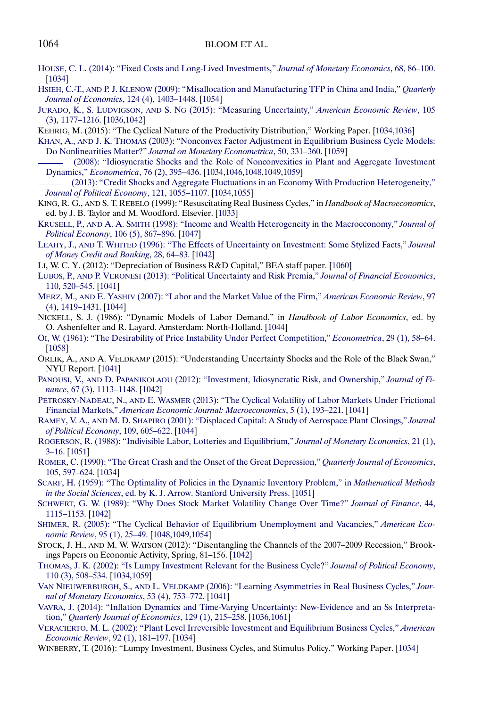### <span id="page-33-0"></span>1064 BLOOM ET AL.

- [HOUSE, C. L. \(2014\): "Fixed Costs and Long-Lived Investments,"](http://www.e-publications.org/srv/ecta/linkserver/openurl?rft_dat=bib:49/58&rfe_id=urn:sici%2F0012-9682%28201805%2986%3A3%3C1031%3ARUBC%3E2.0.CO%3B2-6) *Journal of Monetary Economics*, 68, 86–100. [\[1034\]](#page-3-0)
- HSIEH, C.-T., AND P. J. KLENOW [\(2009\): "Misallocation and Manufacturing TFP in China and India,"](http://www.e-publications.org/srv/ecta/linkserver/openurl?rft_dat=bib:50/59&rfe_id=urn:sici%2F0012-9682%28201805%2986%3A3%3C1031%3ARUBC%3E2.0.CO%3B2-6) *Quarterly [Journal of Economics](http://www.e-publications.org/srv/ecta/linkserver/openurl?rft_dat=bib:50/59&rfe_id=urn:sici%2F0012-9682%28201805%2986%3A3%3C1031%3ARUBC%3E2.0.CO%3B2-6)*, 124 (4), 1403–1448. [\[1054\]](#page-23-0)
- JURADO, K., S. LUDVIGSON, AND S. NG [\(2015\): "Measuring Uncertainty,"](http://www.e-publications.org/srv/ecta/linkserver/openurl?rft_dat=bib:51/60&rfe_id=urn:sici%2F0012-9682%28201805%2986%3A3%3C1031%3ARUBC%3E2.0.CO%3B2-6) *American Economic Review*, 105 [\(3\), 1177–1216.](http://www.e-publications.org/srv/ecta/linkserver/openurl?rft_dat=bib:51/60&rfe_id=urn:sici%2F0012-9682%28201805%2986%3A3%3C1031%3ARUBC%3E2.0.CO%3B2-6) [\[1036](#page-5-0)[,1042\]](#page-11-0)
- KEHRIG, M. (2015): "The Cyclical Nature of the Productivity Distribution," Working Paper. [\[1034,](#page-3-0)[1036\]](#page-5-0)
- KHAN, A., AND J. K. THOMAS [\(2003\): "Nonconvex Factor Adjustment in Equilibrium Business Cycle Models:](http://www.e-publications.org/srv/ecta/linkserver/openurl?rft_dat=bib:53/62&rfe_id=urn:sici%2F0012-9682%28201805%2986%3A3%3C1031%3ARUBC%3E2.0.CO%3B2-6) Do Nonlinearities Matter?" *[Journal on Monetary Econometrica](http://www.e-publications.org/srv/ecta/linkserver/openurl?rft_dat=bib:53/62&rfe_id=urn:sici%2F0012-9682%28201805%2986%3A3%3C1031%3ARUBC%3E2.0.CO%3B2-6)*, 50, 331–360. [\[1059\]](#page-28-0)
- [\(2008\): "Idiosyncratic Shocks and the Role of Nonconvexities in Plant and Aggregate Investment](http://www.e-publications.org/srv/ecta/linkserver/openurl?rft_dat=bib:54/63&rfe_id=urn:sici%2F0012-9682%28201805%2986%3A3%3C1031%3ARUBC%3E2.0.CO%3B2-6) Dynamics," *Econometrica*[, 76 \(2\), 395–436.](http://www.e-publications.org/srv/ecta/linkserver/openurl?rft_dat=bib:54/63&rfe_id=urn:sici%2F0012-9682%28201805%2986%3A3%3C1031%3ARUBC%3E2.0.CO%3B2-6) [\[1034,](#page-3-0)[1046,](#page-15-0)[1048,](#page-17-0)[1049,](#page-18-0)[1059\]](#page-28-0)
- [\(2013\): "Credit Shocks and Aggregate Fluctuations in an Economy With Production Heterogeneity,"](http://www.e-publications.org/srv/ecta/linkserver/openurl?rft_dat=bib:55/64&rfe_id=urn:sici%2F0012-9682%28201805%2986%3A3%3C1031%3ARUBC%3E2.0.CO%3B2-6) *[Journal of Political Economy](http://www.e-publications.org/srv/ecta/linkserver/openurl?rft_dat=bib:55/64&rfe_id=urn:sici%2F0012-9682%28201805%2986%3A3%3C1031%3ARUBC%3E2.0.CO%3B2-6)*, 121, 1055–1107. [\[1034,](#page-3-0)[1055\]](#page-24-0)
- KING, R. G., AND S. T. REBELO (1999): "Resuscitating Real Business Cycles," in *Handbook of Macroeconomics*, ed. by J. B. Taylor and M. Woodford. Elsevier. [\[1033\]](#page-2-0)
- KRUSELL, P., AND A. A. SMITH [\(1998\): "Income and Wealth Heterogeneity in the Macroeconomy,"](http://www.e-publications.org/srv/ecta/linkserver/openurl?rft_dat=bib:57/68&rfe_id=urn:sici%2F0012-9682%28201805%2986%3A3%3C1031%3ARUBC%3E2.0.CO%3B2-6) *Journal of Political Economy*[, 106 \(5\), 867–896.](http://www.e-publications.org/srv/ecta/linkserver/openurl?rft_dat=bib:57/68&rfe_id=urn:sici%2F0012-9682%28201805%2986%3A3%3C1031%3ARUBC%3E2.0.CO%3B2-6) [\[1047\]](#page-16-0)
- LEAHY, J., AND T. WHITED [\(1996\): "The Effects of Uncertainty on Investment: Some Stylized Facts,"](http://www.e-publications.org/srv/ecta/linkserver/openurl?rft_dat=bib:58/69&rfe_id=urn:sici%2F0012-9682%28201805%2986%3A3%3C1031%3ARUBC%3E2.0.CO%3B2-6) *Journal [of Money Credit and Banking](http://www.e-publications.org/srv/ecta/linkserver/openurl?rft_dat=bib:58/69&rfe_id=urn:sici%2F0012-9682%28201805%2986%3A3%3C1031%3ARUBC%3E2.0.CO%3B2-6)*, 28, 64–83. [\[1042\]](#page-11-0)
- LI, W. C. Y. (2012): "Depreciation of Business R&D Capital," BEA staff paper. [\[1060\]](#page-29-0)
- LUBOS, P., AND P. VERONESI [\(2013\): "Political Uncertainty and Risk Premia,"](http://www.e-publications.org/srv/ecta/linkserver/openurl?rft_dat=bib:60/72&rfe_id=urn:sici%2F0012-9682%28201805%2986%3A3%3C1031%3ARUBC%3E2.0.CO%3B2-6) *Journal of Financial Economics*, [110, 520–545.](http://www.e-publications.org/srv/ecta/linkserver/openurl?rft_dat=bib:60/72&rfe_id=urn:sici%2F0012-9682%28201805%2986%3A3%3C1031%3ARUBC%3E2.0.CO%3B2-6) [\[1041\]](#page-10-0)
- MERZ, M., AND E. YASHIV [\(2007\): "Labor and the Market Value of the Firm,"](http://www.e-publications.org/srv/ecta/linkserver/openurl?rft_dat=bib:61/73&rfe_id=urn:sici%2F0012-9682%28201805%2986%3A3%3C1031%3ARUBC%3E2.0.CO%3B2-6) *American Economic Review*, 97 [\(4\), 1419–1431.](http://www.e-publications.org/srv/ecta/linkserver/openurl?rft_dat=bib:61/73&rfe_id=urn:sici%2F0012-9682%28201805%2986%3A3%3C1031%3ARUBC%3E2.0.CO%3B2-6) [\[1044\]](#page-13-0)
- NICKELL, S. J. (1986): "Dynamic Models of Labor Demand," in *Handbook of Labor Economics*, ed. by O. Ashenfelter and R. Layard. Amsterdam: North-Holland. [\[1044\]](#page-13-0)
- [OI, W. \(1961\): "The Desirability of Price Instability Under Perfect Competition,"](http://www.e-publications.org/srv/ecta/linkserver/openurl?rft_dat=bib:63/76&rfe_id=urn:sici%2F0012-9682%28201805%2986%3A3%3C1031%3ARUBC%3E2.0.CO%3B2-6) *Econometrica*, 29 (1), 58–64. [\[1058\]](#page-27-0)
- ORLIK, A., AND A. VELDKAMP (2015): "Understanding Uncertainty Shocks and the Role of the Black Swan," NYU Report. [\[1041\]](#page-10-0)
- PANOUSI, V., AND D. PAPANIKOLAOU [\(2012\): "Investment, Idiosyncratic Risk, and Ownership,"](http://www.e-publications.org/srv/ecta/linkserver/openurl?rft_dat=bib:65/78&rfe_id=urn:sici%2F0012-9682%28201805%2986%3A3%3C1031%3ARUBC%3E2.0.CO%3B2-6) *Journal of Finance*[, 67 \(3\), 1113–1148.](http://www.e-publications.org/srv/ecta/linkserver/openurl?rft_dat=bib:65/78&rfe_id=urn:sici%2F0012-9682%28201805%2986%3A3%3C1031%3ARUBC%3E2.0.CO%3B2-6) [\[1042\]](#page-11-0)
- PETROSKY-NADEAU, N., AND E. WASMER [\(2013\): "The Cyclical Volatility of Labor Markets Under Frictional](http://www.e-publications.org/srv/ecta/linkserver/openurl?rft_dat=bib:66/79&rfe_id=urn:sici%2F0012-9682%28201805%2986%3A3%3C1031%3ARUBC%3E2.0.CO%3B2-6) Financial Markets," *[American Economic Journal: Macroeconomics](http://www.e-publications.org/srv/ecta/linkserver/openurl?rft_dat=bib:66/79&rfe_id=urn:sici%2F0012-9682%28201805%2986%3A3%3C1031%3ARUBC%3E2.0.CO%3B2-6)*, 5 (1), 193–221. [\[1041\]](#page-10-0)
- RAMEY, V. A., AND M. D. SHAPIRO [\(2001\): "Displaced Capital: A Study of Aerospace Plant Closings,"](http://www.e-publications.org/srv/ecta/linkserver/openurl?rft_dat=bib:67/81&rfe_id=urn:sici%2F0012-9682%28201805%2986%3A3%3C1031%3ARUBC%3E2.0.CO%3B2-6) *Journal [of Political Economy](http://www.e-publications.org/srv/ecta/linkserver/openurl?rft_dat=bib:67/81&rfe_id=urn:sici%2F0012-9682%28201805%2986%3A3%3C1031%3ARUBC%3E2.0.CO%3B2-6)*, 109, 605–622. [\[1044\]](#page-13-0)
- [ROGERSON, R. \(1988\): "Indivisible Labor, Lotteries and Equilibrium,"](http://www.e-publications.org/srv/ecta/linkserver/openurl?rft_dat=bib:68/83&rfe_id=urn:sici%2F0012-9682%28201805%2986%3A3%3C1031%3ARUBC%3E2.0.CO%3B2-6) *Journal of Monetary Economics*, 21 (1), [3–16.](http://www.e-publications.org/srv/ecta/linkserver/openurl?rft_dat=bib:68/83&rfe_id=urn:sici%2F0012-9682%28201805%2986%3A3%3C1031%3ARUBC%3E2.0.CO%3B2-6) [\[1051\]](#page-20-0)
- [ROMER, C. \(1990\): "The Great Crash and the Onset of the Great Depression,"](http://www.e-publications.org/srv/ecta/linkserver/openurl?rft_dat=bib:69/84&rfe_id=urn:sici%2F0012-9682%28201805%2986%3A3%3C1031%3ARUBC%3E2.0.CO%3B2-6) *Quarterly Journal of Economics*, [105, 597–624.](http://www.e-publications.org/srv/ecta/linkserver/openurl?rft_dat=bib:69/84&rfe_id=urn:sici%2F0012-9682%28201805%2986%3A3%3C1031%3ARUBC%3E2.0.CO%3B2-6) [\[1034\]](#page-3-0)
- [SCARF, H. \(1959\): "The Optimality of Policies in the Dynamic Inventory Problem," in](http://www.e-publications.org/srv/ecta/linkserver/openurl?rft_dat=bib:70/85&rfe_id=urn:sici%2F0012-9682%28201805%2986%3A3%3C1031%3ARUBC%3E2.0.CO%3B2-6) *Mathematical Methods in the Social Sciences*[, ed. by K. J. Arrow. Stanford University Press.](http://www.e-publications.org/srv/ecta/linkserver/openurl?rft_dat=bib:70/85&rfe_id=urn:sici%2F0012-9682%28201805%2986%3A3%3C1031%3ARUBC%3E2.0.CO%3B2-6) [\[1051\]](#page-20-0)
- [SCHWERT, G. W. \(1989\): "Why Does Stock Market Volatility Change Over Time?"](http://www.e-publications.org/srv/ecta/linkserver/openurl?rft_dat=bib:71/87&rfe_id=urn:sici%2F0012-9682%28201805%2986%3A3%3C1031%3ARUBC%3E2.0.CO%3B2-6) *Journal of Finance*, 44, [1115–1153.](http://www.e-publications.org/srv/ecta/linkserver/openurl?rft_dat=bib:71/87&rfe_id=urn:sici%2F0012-9682%28201805%2986%3A3%3C1031%3ARUBC%3E2.0.CO%3B2-6) [\[1042\]](#page-11-0)
- [SHIMER, R. \(2005\): "The Cyclical Behavior of Equilibrium Unemployment and Vacancies,"](http://www.e-publications.org/srv/ecta/linkserver/openurl?rft_dat=bib:72/89&rfe_id=urn:sici%2F0012-9682%28201805%2986%3A3%3C1031%3ARUBC%3E2.0.CO%3B2-6) *American Economic Review*[, 95 \(1\), 25–49.](http://www.e-publications.org/srv/ecta/linkserver/openurl?rft_dat=bib:72/89&rfe_id=urn:sici%2F0012-9682%28201805%2986%3A3%3C1031%3ARUBC%3E2.0.CO%3B2-6) [\[1048,](#page-17-0)[1049,](#page-18-0)[1054\]](#page-23-0)
- STOCK, J. H., AND M. W. WATSON (2012): "Disentangling the Channels of the 2007–2009 Recession," Brookings Papers on Economic Activity, Spring, 81–156. [\[1042\]](#page-11-0)
- [THOMAS, J. K. \(2002\): "Is Lumpy Investment Relevant for the Business Cycle?"](http://www.e-publications.org/srv/ecta/linkserver/openurl?rft_dat=bib:74/94&rfe_id=urn:sici%2F0012-9682%28201805%2986%3A3%3C1031%3ARUBC%3E2.0.CO%3B2-6) *Journal of Political Economy*, [110 \(3\), 508–534.](http://www.e-publications.org/srv/ecta/linkserver/openurl?rft_dat=bib:74/94&rfe_id=urn:sici%2F0012-9682%28201805%2986%3A3%3C1031%3ARUBC%3E2.0.CO%3B2-6) [\[1034,](#page-3-0)[1059\]](#page-28-0)
- VAN NIEUWERBURGH, S., AND L. VELDKAMP [\(2006\): "Learning Asymmetries in Real Business Cycles,"](http://www.e-publications.org/srv/ecta/linkserver/openurl?rft_dat=bib:75/95&rfe_id=urn:sici%2F0012-9682%28201805%2986%3A3%3C1031%3ARUBC%3E2.0.CO%3B2-6) *Jour[nal of Monetary Economics](http://www.e-publications.org/srv/ecta/linkserver/openurl?rft_dat=bib:75/95&rfe_id=urn:sici%2F0012-9682%28201805%2986%3A3%3C1031%3ARUBC%3E2.0.CO%3B2-6)*, 53 (4), 753–772. [\[1041\]](#page-10-0)
- [VAVRA, J. \(2014\): "Inflation Dynamics and Time-Varying Uncertainty: New-Evidence and an Ss Interpreta](http://www.e-publications.org/srv/ecta/linkserver/openurl?rft_dat=bib:76/96&rfe_id=urn:sici%2F0012-9682%28201805%2986%3A3%3C1031%3ARUBC%3E2.0.CO%3B2-6)tion," *[Quarterly Journal of Economics](http://www.e-publications.org/srv/ecta/linkserver/openurl?rft_dat=bib:76/96&rfe_id=urn:sici%2F0012-9682%28201805%2986%3A3%3C1031%3ARUBC%3E2.0.CO%3B2-6)*, 129 (1), 215–258. [\[1036,](#page-5-0)[1061\]](#page-30-0)
- [VERACIERTO, M. L. \(2002\): "Plant Level Irreversible Investment and Equilibrium Business Cycles,"](http://www.e-publications.org/srv/ecta/linkserver/openurl?rft_dat=bib:77/98&rfe_id=urn:sici%2F0012-9682%28201805%2986%3A3%3C1031%3ARUBC%3E2.0.CO%3B2-6) *American [Economic Review](http://www.e-publications.org/srv/ecta/linkserver/openurl?rft_dat=bib:77/98&rfe_id=urn:sici%2F0012-9682%28201805%2986%3A3%3C1031%3ARUBC%3E2.0.CO%3B2-6)*, 92 (1), 181–197. [\[1034\]](#page-3-0)
- WINBERRY, T. (2016): "Lumpy Investment, Business Cycles, and Stimulus Policy," Working Paper. [\[1034\]](#page-3-0)